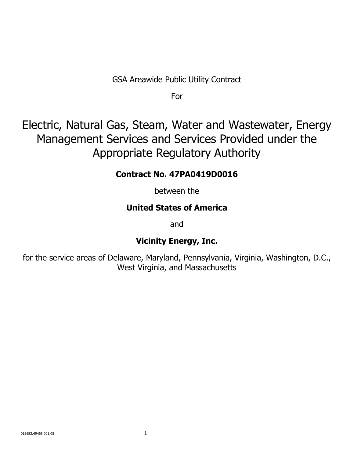GSA Areawide Public Utility Contract

For

Electric, Natural Gas, Steam, Water and Wastewater, Energy Management Services and Services Provided under the Appropriate Regulatory Authority

## **Contract No. 47PA0419D0016**

between the

## **United States of America**

and

## **Vicinity Energy, Inc.**

for the service areas of Delaware, Maryland, Pennsylvania, Virginia, Washington, D.C., West Virginia, and Massachusetts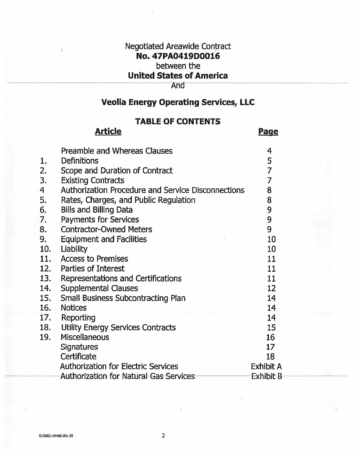### **Negotiated Areawide Contract** No. 47PA0419D0016

## between the

## **United States of America**

### **And**

## **Veolia Energy Operating Services, LLC**

### **TABLE OF CONTENTS**

Daaa

Neticlo

|                | AI LILIC                                                  | <u>rayc</u>       |
|----------------|-----------------------------------------------------------|-------------------|
|                | <b>Preamble and Whereas Clauses</b>                       | 4                 |
| 1.             | <b>Definitions</b>                                        | 5                 |
| 2.             | Scope and Duration of Contract                            | $\overline{7}$    |
| 3.             | <b>Existing Contracts</b>                                 | $\overline{7}$    |
| $\overline{4}$ | <b>Authorization Procedure and Service Disconnections</b> | 8                 |
| 5.             | Rates, Charges, and Public Regulation                     | 8                 |
| 6.             | <b>Bills and Billing Data</b>                             | 9                 |
| 7.             | <b>Payments for Services</b>                              | 9                 |
| 8.             | <b>Contractor-Owned Meters</b>                            | 9                 |
| 9.             | <b>Equipment and Facilities</b>                           | 10                |
| 10.            | Liability                                                 | 10                |
| 11.            | <b>Access to Premises</b>                                 | 11                |
|                | 12. Parties of Interest                                   | 11                |
| 13.            | Representations and Certifications                        | 11                |
| 14.            | <b>Supplemental Clauses</b>                               | $12 \overline{ }$ |
| <b>15.</b>     | <b>Small Business Subcontracting Plan</b>                 | 14                |
| 16.            | <b>Notices</b>                                            | 14                |
|                | 17. Reporting                                             | 14                |
| 18.            | <b>Utility Energy Services Contracts</b>                  | 15                |
| 19.            | <b>Miscellaneous</b>                                      | 16                |
|                | <b>Signatures</b>                                         | 17                |
|                | Certificate                                               | 18                |
|                | <b>Authorization for Electric Services</b>                | <b>Exhibit A</b>  |
|                | <b>Authorization for Natural Gas Services</b>             | Exhibit B         |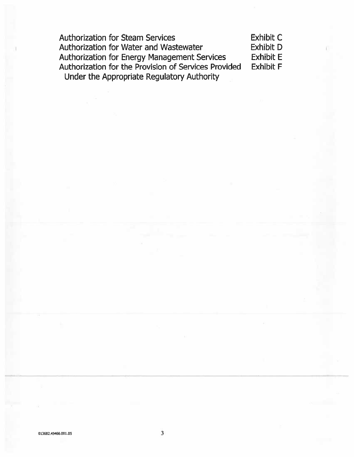**Authorization for Steam Services Exhibit C** Authorization for Water and Wastewater **Exhibit D** Authorization for Energy Management Services **Exhibit E** Authorization for the Provision of Services Provided **Exhibit F** Under the Appropriate Regulatory Authority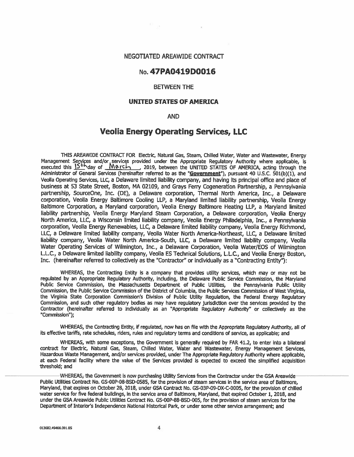#### NEGOTIATED AREAWIDE CONTRACT

### No. 47PA0419D0016

#### **BETWEEN THE**

#### **UNITED STATES OF AMERICA**

#### **AND**

### **Veolia Energy Operating Services, LLC**

THIS AREAWIDE CONTRACT FOR Electric, Natural Gas, Steam, Chilled Water, Water and Wastewater, Energy Management Services and/or services provided under the Appropriate Regulatory Authority where applicable, is<br>executed this  $15^{+6}$  day of  $100 \text{ N}$  C  $\rightarrow$  2019, between the UNITED STATES OF AMERICA, acting through the<br>Ad Veolia Operating Services, LLC, a Delaware limited liability company, and having its principal office and place of business at 53 State Street, Boston, MA 02109, and Grays Ferry Cogeneration Partnership, a Pennsylvania partnership, SourceOne, Inc. (DE), a Delaware corporation, Thermal North America, Inc., a Delaware corporation, Veolia Energy Baltimore Cooling LLP, a Maryland limited liability partnership, Veolia Energy Baltimore Corporation, a Maryland corporation, Veolia Energy Baltimore Heating LLP, a Maryland limited liability partnership, Veolia Energy Maryland Steam Corporation, a Delaware corporation, Veolia Energy North America, LLC, a Wisconsin limited liability company, Veolia Energy Philadelphia, Inc., a Pennsylvania corporation. Veolia Energy Renewables, LLC, a Delaware limited liability company, Veolia Energy Richmond, LLC, a Delaware limited liability company, Veolia Water North America-Northeast, LLC, a Delaware limited liability company, Veolia Water North America-South, LLC, a Delaware limited liability company, Veolia Water Operating Services of Wilmington, Inc., a Delaware Corporation, Veolia Water/EOS of Wilmington L.L.C., a Delaware limited liability company, Veolia ES Technical Solutions, L.L.C., and Veolia Energy Boston, Inc. (hereinafter referred to collectively as the "Contractor" or individually as a "Contracting Entity"):

WHEREAS, the Contracting Entity is a company that provides utility services, which may or may not be regulated by an Appropriate Regulatory Authority, including, the Delaware Public Service Commission, the Maryland Public Service Commission, the Massachusetts Department of Public Utilities, the Pennsylvania Public Utility Commission, the Public Service Commission of the District of Columbia, the Public Services Commission of West Virginia. the Virginia State Corporation Commission's Division of Public Utility Regulation, the Federal Energy Regulatory Commission, and such other regulatory bodies as may have regulatory jurisdiction over the services provided by the Contractor (hereinafter referred to individually as an "Appropriate Regulatory Authority" or collectively as the "Commission");

WHEREAS, the Contracting Entity, if regulated, now has on file with the Appropriate Regulatory Authority, all of its effective tariffs, rate schedules, riders, rules and regulatory terms and conditions of service, as applicable; and

WHEREAS, with some exceptions, the Government is generally required by FAR 41.2, to enter into a bilateral contract for Electric, Natural Gas, Steam, Chilled Water, Water and Wastewater, Energy Management Services, Hazardous Waste Management, and/or services provided, under The Appropriate Regulatory Authority where applicable, at each Federal facility where the value of the Services provided is expected to exceed the simplified acquisition threshold; and

WHEREAS, the Government is now purchasing Utility Services from the Contractor under the GSA Areawide Public Utilities Contract No. GS-00P-08-BSD-0585, for the provision of steam services in the service area of Baltimore. Maryland, that expires on October 28, 2018, under GSA Contract No. GS-03P-09-DX-C-0005, for the provision of chilled water service for five federal buildings, in the service area of Baltimore, Maryland, that expired October 1, 2018, and under the GSA Areawide Public Utilities Contract No. GS-00P-88-BSD-005, for the provision of steam services for the Department of Interior's Independence National Historical Park, or under some other service arrangement; and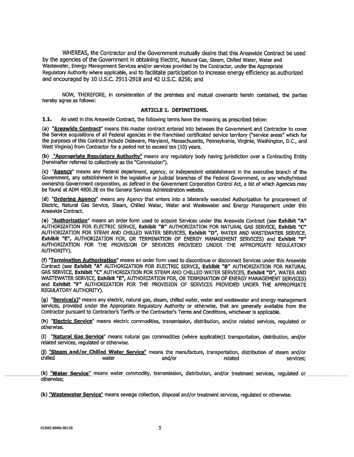WHEREAS, the Contractor and the Government mutually desire that this Areawide Contract be used by the agencies of the Government in obtaining Electric, Natural Gas, Steam, Chilled Water, Water and Wastewater, Energy Management Services and/or services provided by the Contractor, under the Appropriate Regulatory Authority where applicable, and to facilitate participation to increase energy efficiency as authorized and encouraged by 10 U.S.C. 2911-2918 and 42 U.S.C. 8256: and

NOW, THEREFORE, in consideration of the premises and mutual covenants herein contained, the parties hereby agree as follows:

#### **ARTICLE 1. DEFINITIONS.**

 $1.1.$ As used in this Areawide Contract, the following terms have the meaning as prescribed below:

(a) "Areawide Contract" means this master contract entered into between the Government and Contractor to cover the Service acquisitions of all Federal agencies in the franchised certificated service territory ("service areas" which for the purposes of this Contract include Delaware, Maryland, Massachusetts, Pennsylvania, Virginia, Washington, D.C., and West Virginia) from Contractor for a period not to exceed ten (10) years.

(b) "Appropriate Requlatory Authority" means any requlatory body having jurisdiction over a Contracting Entity (hereinafter referred to collectively as the "Commission").

(c) "Agency" means any Federal department, agency, or independent establishment in the executive branch of the Government, any establishment in the legislative or judicial branches of the Federal Government, or any wholly/mixed ownership Government corporation, as defined in the Government Corporation Control Act, a list of which Agencies may be found at ADM 4800.2E on the General Services Administration website.

(d) "Ordering Agency" means any Agency that enters into a bilaterally executed Authorization for procurement of Electric, Natural Gas Service, Steam, Chilled Water, Water and Wastewater and Energy Management under this Areawide Contract.

(e) "Authorization" means an order form used to acquire Services under this Areawide Contract (see Exhibit "A" AUTHORIZATION FOR ELECTRIC SERVCE, Exhibit "B" AUTHORIZATION FOR NATURAL GAS SERVICE, Exhibit "C" AUTHORIZATION FOR STEAM AND CHILLED WATER SERVICES, Exhibit "D", WATER AND WASTEWATER SERVICE. Exhibit "E", AUTHORIZATION FOR, OR TERMINATION OF ENERGY MANAGEMENT SERVICES) and Exhibit "F" AUTHORIZATION FOR THE PROVISION OF SERVICES PROVIDED UNDER THE APPROPRIATE REGULATORY **AUTHORITY).** 

(f) "Termination Authorization" means an order form used to discontinue or disconnect Services under this Areawide Contract (see Exhibit "A" AUTHORIZATION FOR ELECTRIC SERVCE, Exhibit "B" AUTHORIZATION FOR NATURAL GAS SERVICE, Exhibit "C" AUTHORIZATION FOR STEAM AND CHILLED WATER SERVICES, Exhibit "D", WATER AND WASTEWATER SERVICE, Exhibit "E", AUTHORIZATION FOR, OR TERMINATION OF ENERGY MANAGEMENT SERVICES) and Exhibit "F" AUTHORIZATION FOR THE PROVISION OF SERVICES PROVIDED UNDER THE APPROPRIATE REGULATORY AUTHORITY).

(g) "Service(s)" means any electric, natural gas, steam, chilled water, water and wastewater and energy management services, provided under the Appropriate Regulatory Authority or otherwise, that are generally available from the Contractor pursuant to Contractor's Tariffs or the Contractor's Terms and Conditions, whichever is applicable.

(h) "Electric Service" means electric commodities, transmission, distribution, and/or related services, requlated or otherwise.

(i) "Natural Gas Service" means natural gas commodities (where applicable)1 transportation, distribution, and/or related services, regulated or otherwise.

(j) "Steam and/or Chilled Water Service" means the manufacture, transportation, distribution of steam and/or chilled water and/or related services:

(k) "Water Service" means water commodity, transmission, distribution, and/or treatment services, regulated or otherwise:

(k) "Wastewater Service" means sewage collection, disposal and/or treatment services, regulated or otherwise.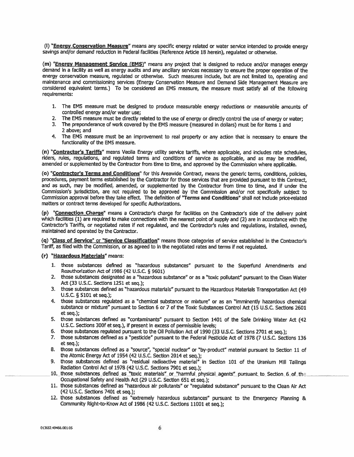(I) "Energy Conservation Measure" means any specific energy related or water service intended to provide energy savings and/or demand reduction in Federal facilities (Reference Article 18 herein), requiated or otherwise.

(m) "Energy Management Service (EMS)" means any project that is designed to reduce and/or manages energy demand in a facility as well as energy audits and any ancillary services necessary to ensure the proper operation of the energy conservation measure, regulated or otherwise. Such measures include, but are not limited to, operating and maintenance and commissioning services (Energy Conservation Measure and Demand Side Management Measure are considered equivalent terms.) To be considered an EMS measure, the measure must satisfy all of the following requirements:

- 1. The EMS measure must be designed to produce measurable energy reductions or measurable amounts of controlled energy and/or water use:
- 2. The EMS measure must be directly related to the use of energy or directly control the use of energy or water;
- 3. The preponderance of work covered by the EMS measure (measured in dollars) must be for items 1 and 2 above: and
- 4. The EMS measure must be an improvement to real property or any action that is necessary to ensure the functionality of the EMS measure.

(n) "Contractor's Tariffs" means Veolia Energy utility service tariffs, where applicable, and includes rate schedules, riders, rules, regulations, and regulated terms and conditions of service as applicable, and as may be modified. amended or supplemented by the Contractor from time to time, and approved by the Commission where applicable.

(o) "Contractor's Terms and Conditions" for this Areawide Contract, means the generic terms, conditions, policies, procedures, payment terms established by the Contractor for those services that are provided pursuant to this Contract, and as such, may be modified, amended, or supplemented by the Contractor from time to time, and if under the Commission's jurisdiction, are not required to be approved by the Commission and/or not specifically subject to Commission approval before they take effect. The definition of "Terms and Conditions" shall not include price-related matters or contract terms developed for specific Authorizations.

(p) "Connection Charge" means a Contractor's charge for facilities on the Contractor's side of the delivery point which facilities (1) are required to make connections with the nearest point of supply and (2) are in accordance with the Contractor's Tariffs, or negotiated rates if not regulated, and the Contractor's rules and regulations, installed, owned, maintained and operated by the Contractor.

(q) "Class of Service" or "Service Classification" means those categories of service established in the Contractor's Tariff, as filed with the Commission, or as agreed to in the negotiated rates and terms if not regulated.

#### (r) "Hazardous Materials" means:

- 1. those substances defined as "hazardous substances" pursuant to the Superfund Amendments and Reauthorization Act of 1986 (42 U.S.C. § 9601)
- 2. those substances designated as a "hazardous substance" or as a "toxic pollutant" pursuant to the Clean Water Act (33 U.S.C. Sections 1251 et seq.):
- 3. those substances defined as "hazardous materials" pursuant to the Hazardous Materials Transportation Act (49  $U.S.C. \S 5101 et seq.$ );
- 4. those substances regulated as a "chemical substance or mixture" or as an "imminently hazardous chemical substance or mixture" pursuant to Section 6 or 7 of the Toxic Substances Control Act (15 U.S.C. Sections 2601 et sea.);
- 5. those substances defined as "contaminants" pursuant to Section 1401 of the Safe Drinking Water Act (42 U.S.C. Sections 300f et seq.), if present in excess of permissible levels:
- 6. those substances regulated pursuant to the Oil Pollution Act of 1990 (33 U.S.C. Sections 2701 et seq.);
- 7. those substances defined as a "pesticide" pursuant to the Federal Pesticide Act of 1978 (7 U.S.C. Sections 136 et seq.);
- 8. those substances defined as a "source", "special nuclear" or "by-product" material pursuant to Section 11 of<br>the Atomic Energy Act of 1954 (42 U.S.C. Section 2014 et seq.);
- 9. those substances defined as "residual radioactive material" in Section 101 of the Uranium Mill Tailings Radiation Control Act of 1978 (42 U.S.C. Sections 7901 et seq.);
- 10. those substances defined as "toxic materials" or "harmful physical agents" pursuant to Section 6 of the Occupational Safety and Health Act (29 U.S.C. Section 651 et seq.);
- 11. those substances defined as "hazardous air pollutants" or "regulated substance" pursuant to the Clean Air Act (42 U.S.C. Sections 7401 et seq.);
- 12. those substances defined as "extremely hazardous substances" pursuant to the Emergency Planning & Community Right-to-Know Act of 1986 (42 U.S.C. Sections 11001 et seq.);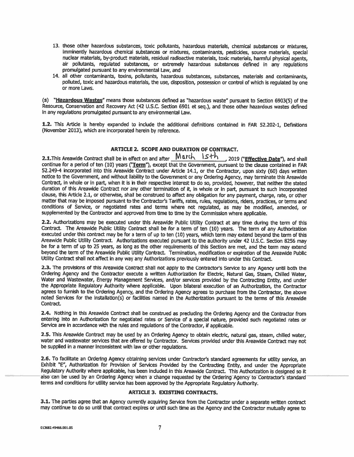- 13. those other hazardous substances, toxic pollutants, hazardous materials, chemical substances or mixtures, imminently hazardous chemical substances or mixtures, contaminants, pesticides, source materials, special nuclear materials, by-product materials, residual radioactive materials, toxic materials, harmful physical agents, air pollutants, regulated substances, or extremely hazardous substances defined in any regulations promulgated pursuant to any environmental Law, and
- 14. all other contaminants, toxins, pollutants, hazardous substances, substances, materials and contaminants, polluted, toxic and hazardous materials, the use, disposition, possession or control of which is requlated by one or more Laws.

(s) "Hazardous Wastes" means those substances defined as "hazardous waste" pursuant to Section 6903(5) of the Resource, Conservation and Recovery Act (42 U.S.C. Section 6901 et seq.), and those other hazardous wastes defined in any regulations promulgated pursuant to any environmental Law.

1.2. This Article is hereby expanded to include the additional definitions contained in FAR 52.202-1, Definitions (November 2013), which are incorporated herein by reference.

#### **ARTICLE 2. SCOPE AND DURATION OF CONTRACT.**

2.1. This Areawide Contract shall be in effect on and after March Isth 2019 ("Effective Date"), and shall continue for a period of ten (10) years ("Term"), except that the Government, pursuant to the clause contained in FAR 52.249-4 incorporated into this Areawide Contract under Article 14.1, or the Contractor, upon sixty (60) days written notice to the Government, and without liability to the Government or any Ordering Agency, may terminate this Areawide Contract, in whole or in part, when it is in their respective interest to do so, provided, however, that neither the stated duration of this Areawide Contract nor any other termination of it. in whole or in part, pursuant to such incorporated clause, this Article 2.1, or otherwise, shall be construed to affect any obligation for any payment, charge, rate, or other matter that may be imposed pursuant to the Contractor's Tariffs, rates, rules, regulations, riders, practices, or terms and conditions of Service, or negotiated rates and terms where not regulated, as may be modified, amended, or supplemented by the Contractor and approved from time to time by the Commission where applicable.

2.2. Authorizations may be executed under this Areawide Public Utility Contract at any time during the term of this Contract. The Areawide Public Utility Contract shall be for a term of ten (10) years. The term of any Authorization executed under this contract may be for a term of up to ten (10) years, which term may extend beyond the term of this Areawide Public Utility Contract. Authorizations executed pursuant to the authority under 42 U.S.C. Section 8256 may be for a term of up to 25 years, as long as the other requirements of this Section are met, and the term may extend beyond the term of the Areawide Public Utility Contract. Termination, modification or expiration of the Areawide Public Utility Contract shall not affect in any way any Authorizations previously entered into under this Contract.

2.3. The provisions of this Areawide Contract shall not apply to the Contractor's Service to any Agency until both the Ordering Agency and the Contractor execute a written Authorization for Electric, Natural Gas, Steam, Chilled Water, Water and Wastewater, Energy Management Services, and/or services provided by the Contracting Entity, and under the Appropriate Regulatory Authority where applicable. Upon bilateral execution of an Authorization, the Contractor agrees to furnish to the Ordering Agency, and the Ordering Agency agrees to purchase from the Contractor, the above noted Services for the installation(s) or facilities named in the Authorization pursuant to the terms of this Areawide Contract.

2.4. Nothing in this Areawide Contract shall be construed as precluding the Ordering Agency and the Contractor from entering into an Authorization for negotiated rates or Service of a special nature, provided such negotiated rates or Service are in accordance with the rules and regulations of the Contractor, if applicable.

2.5. This Areawide Contract may be used by an Ordering Agency to obtain electric, natural gas, steam, chilled water, water and wastewater services that are offered by Contractor. Services provided under this Areawide Contract may not be supplied in a manner inconsistent with law or other requiations.

2.6. To facilitate an Ordering Agency obtaining services under Contractor's standard agreements for utility service, an Exhibit "E", Authorization for Provision of Services Provided by the Contracting Entity, and under the Appropriate Regulatory Authority where applicable, has been included in this Areawide Contract. This Authorization is designed so it also can be used by an Ordering Agency when a change requested by the Ordering Agency to Contractor's standard terms and conditions for utility service has been approved by the Appropriate Requlatory Authority.

#### **ARTICLE 3. EXISTING CONTRACTS.**

3.1. The parties agree that an Agency currently acquiring Service from the Contractor under a separate written contract may continue to do so until that contract expires or until such time as the Agency and the Contractor mutually agree to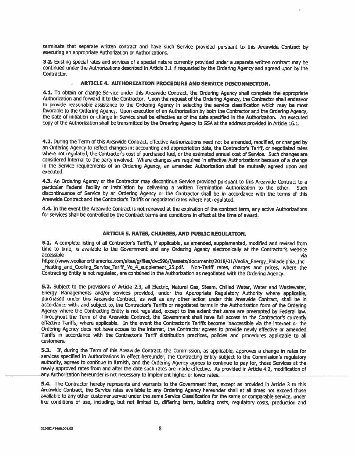terminate that separate written contract and have such Service provided pursuant to this Areawide Contract by executing an appropriate Authorization or Authorizations.

3.2. Existing special rates and services of a special nature currently provided under a separate written contract may be continued under the Authorizations described in Article 3.1 if requested by the Ordering Agency and agreed upon by the Contractor.

#### ARTICLE 4. AUTHORIZATION PROCEDURE AND SERVICE DISCONNECTION.

4.1. To obtain or change Service under this Areawide Contract, the Ordering Agency shall complete the appropriate Authorization and forward it to the Contractor. Upon the request of the Ordering Agency, the Contractor shall endeavor to provide reasonable assistance to the Ordering Agency in selecting the service classification which may be most favorable to the Ordering Agency. Upon execution of an Authorization by both the Contractor and the Ordering Agency, the date of initiation or change in Service shall be effective as of the date specified in the Authorization. An executed copy of the Authorization shall be transmitted by the Ordering Agency to GSA at the address provided in Article 16.1.

4.2. During the Term of this Areawide Contract, effective Authorizations need not be amended, modified, or changed by an Ordering Agency to reflect changes in: accounting and appropriation data, the Contractor's Tariff, or negotiated rates where not regulated, the Contractor's cost of purchased fuel, or the estimated annual cost of Service. Such changes are considered internal to the party involved. Where changes are required in effective Authorizations because of a change in the Service requirements of an Ordering Agency, an amended Authorization shall be mutually agreed upon and executed.

4.3. An Ordering Agency or the Contractor may discontinue Service provided pursuant to this Areawide Contract to a particular Federal facility or installation by delivering a written Termination Authorization to the other. Such discontinuance of Service by an Ordering Agency or the Contractor shall be in accordance with the terms of this Areawide Contract and the Contractor's Tariffs or negotiated rates where not regulated.

4.4. In the event the Areawide Contract is not renewed at the expiration of the contract term, any active Authorizations for services shall be controlled by the Contract terms and conditions in effect at the time of award.

#### **ARTICLE 5. RATES. CHARGES. AND PUBLIC REGULATION.**

5.1. A complete listing of all Contractor's Tariffs, if applicable, as amended, supplemented, modified and revised from time to time, is available to the Government and any Ordering Agency electronically at the Contractor's website accessible via

https://www.veolianorthamerica.com/sites/g/files/dvc596/f/assets/documents/2018/01/Veolia\_Energy Philadelphia Inc Heating and Cooling Service Tariff No 4 supplement 25.pdf. Non-Tariff rates, charges and prices, where the Contracting Entity is not regulated, are contained in the Authorization as negotiated with the Ordering Agency.

5.2. Subject to the provisions of Article 2.3, all Electric, Natural Gas, Steam, Chilled Water, Water and Wastewater, Energy Managements and/or services provided, under the Appropriate Regulatory Authority where applicable, purchased under this Areawide Contract, as well as any other action under this Areawide Contract, shall be in accordance with, and subject to, the Contractor's Tariffs or negotiated terms in the Authorization form of the Ordering Agency where the Contracting Entity is not regulated, except to the extent that same are preempted by Federal law. Throughout the Term of the Areawide Contract, the Government shall have full access to the Contractor's currently effective Tariffs, where applicable. In the event the Contractor's Tariffs become inaccessible via the internet or the Ordering Agency does not have access to the internet, the Contractor agrees to provide newly effective or amended Tariffs in accordance with the Contractor's Tariff distribution practices, policies and procedures applicable to all customers.

5.3. If, during the Term of this Areawide Contract, the Commission, as applicable, approves a change in rates for services specified in Authorizations in effect hereunder, the Contracting Entity subject to the Commission's regulatory authority, agrees to continue to furnish, and the Ordering Agency agrees to continue to pay for, those Services at the newly approved rates from and after the date such rates are made effective. As provided in Article 4.2, modification of any Authorization hereunder is not necessary to implement higher or lower rates.

5.4. The Contractor hereby represents and warrants to the Government that, except as provided in Article 3 to this Areawide Contract, the Service rates available to any Ordering Agency hereunder shall at all times not exceed those available to any other customer served under the same Service Classification for the same or comparable service, under like conditions of use, including, but not limited to, differing term, building costs, regulatory costs, production and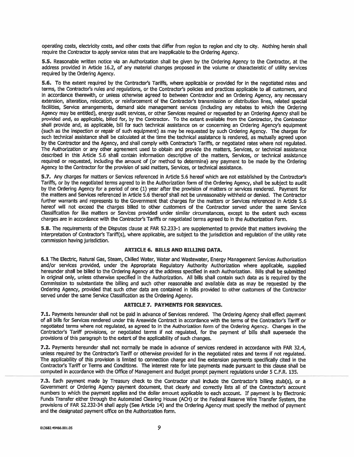operating costs, electricity costs, and other costs that differ from region to region and city to city. Nothing herein shall require the Contractor to apply service rates that are inapplicable to the Ordering Agency.

5.5. Reasonable written notice via an Authorization shall be given by the Ordering Agency to the Contractor, at the address provided in Article 16.2, of any material changes proposed in the volume or characteristic of utility services required by the Ordering Agency.

5.6. To the extent required by the Contractor's Tariffs, where applicable or provided for in the negotiated rates and terms, the Contractor's rules and regulations, or the Contractor's policies and practices applicable to all customers, and in accordance therewith, or unless otherwise agreed to between Contractor and an Ordering Agency, any necessary extension, alteration, relocation, or reinforcement of the Contractor's transmission or distribution lines, related special facilities, Service arrangements, demand side management services (including any rebates to which the Ordering Agency may be entitled), energy audit services, or other Services required or requested by an Ordering Agency shall be provided and, as applicable, billed for, by the Contractor. To the extent available from the Contractor, the Contractor shall provide and, as applicable, bill for such technical assistance on or concerning an Ordering Agency's equipment (such as the inspection or repair of such equipment) as may be requested by such Ordering Agency. The charges for such technical assistance shall be calculated at the time the technical assistance is rendered, as mutually agreed upon by the Contractor and the Agency, and shall comply with Contractor's Tariffs, or negotiated rates where not regulated. The Authorization or any other agreement used to obtain and provide the matters, Services, or technical assistance described in this Article 5.6 shall contain information descriptive of the matters, Services, or technical assistance required or requested, including the amount of (or method to determine) any payment to be made by the Ordering Agency to the Contractor for the provision of said matters, Services, or technical assistance.

5.7. Any charges for matters or Services referenced in Article 5.6 hereof which are not established by the Contractor's Tariffs, or by the negotiated terms agreed to in the Authorization form of the Ordering Agency, shall be subject to audit by the Ordering Agency for a period of one (1) year after the provision of matters or services rendered. Payment for the matters and Services referenced in Article 5.6 thereof shall not be unreasonably withheld or denied. The Contractor further warrants and represents to the Government that charges for the matters or Services referenced in Article 5.6 hereof will not exceed the charges billed to other customers of the Contractor served under the same Service Classification for like matters or Services provided under similar circumstances, except to the extent such excess charges are in accordance with the Contractor's Tariffs or negotiated terms agreed to in the Authorization Form.

5.8. The requirements of the Disputes clause at FAR 52.233-1 are supplemented to provide that matters involving the interpretation of Contractor's Tariff(s), where applicable, are subject to the jurisdiction and requlation of the utility rate commission having jurisdiction.

#### **ARTICLE 6. BILLS AND BILLING DATA.**

6.1 The Electric, Natural Gas, Steam, Chilled Water, Water and Wastewater, Energy Management Services Authorization and/or services provided, under the Appropriate Regulatory Authority Authorization where applicable, supplied hereunder shall be billed to the Ordering Agency at the address specified in each Authorization. Bills shall be submitted in original only, unless otherwise specified in the Authorization. All bills shall contain such data as is required by the Commission to substantiate the billing and such other reasonable and available data as may be requested by the Ordering Agency, provided that such other data are contained in bills provided to other customers of the Contractor served under the same Service Classification as the Ordering Agency.

#### **ARTICLE 7. PAYMENTS FOR SERVICES.**

7.1. Payments hereunder shall not be paid in advance of Services rendered. The Ordering Agency shall effect payment of all bills for Services rendered under this Areawide Contract in accordance with the terms of the Contractor's Tariff or negotiated terms where not regulated, as agreed to in the Authorization form of the Ordering Agency. Changes in the Contractor's Tariff provisions, or negotiated terms if not regulated, for the payment of bills shall supersede the provisions of this paragraph to the extent of the applicability of such changes.

7.2. Payments hereunder shall not normally be made in advance of services rendered in accordance with FAR 32.4, unless required by the Contractor's Tariff or otherwise provided for in the negotiated rates and terms if not requlated. The applicability of this provision is limited to connection charge and line extension payments specifically cited in the Contractor's Tariff or Terms and Conditions. The interest rate for late payments made pursuant to this clause shall be computed in accordance with the Office of Management and Budget prompt payment regulations under 5 C.F.R. 135.

7.3. Each payment made by Treasury check to the Contractor shall include the Contractor's billing stub(s), or a Government or Ordering Agency payment document, that clearly and correctly lists all of the Contractor's account numbers to which the payment applies and the dollar amount applicable to each account. If payment is by Electronic Funds Transfer either through the Automated Clearing House (ACH) or the Federal Reserve Wire Transfer System, the provisions of FAR 52.232-34 shall apply (See Article 14) and the Ordering Agency must specify the method of payment and the designated payment office on the Authorization form.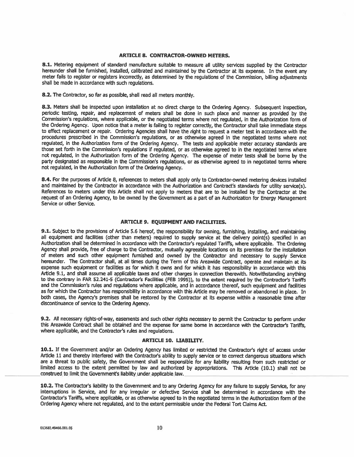#### **ARTICLE 8. CONTRACTOR-OWNED METERS.**

8.1. Metering equipment of standard manufacture suitable to measure all utility services supplied by the Contractor hereunder shall be furnished, installed, calibrated and maintained by the Contractor at its expense. In the event any meter fails to register or registers incorrectly, as determined by the regulations of the Commission, billing adjustments shall be made in accordance with such regulations.

8.2. The Contractor, so far as possible, shall read all meters monthly.

8.3. Meters shall be inspected upon installation at no direct charge to the Ordering Agency. Subsequent inspection, periodic testing, repair, and replacement of meters shall be done in such place and manner as provided by the Commission's requlations, where applicable, or the negotiated terms where not requlated, in the Authorization form of the Ordering Agency. Upon notice that a meter is failing to register correctly, the Contractor shall take immediate steps to effect replacement or repair. Ordering Agencies shall have the right to request a meter test in accordance with the procedures prescribed in the Commission's requlations, or as otherwise agreed in the negotiated terms where not regulated, in the Authorization form of the Ordering Agency. The tests and applicable meter accuracy standards are those set forth in the Commission's regulations if regulated, or as otherwise agreed to in the negotiated terms where not requlated, in the Authorization form of the Ordering Agency. The expense of meter tests shall be borne by the party designated as responsible in the Commission's regulations, or as otherwise agreed to in negotiated terms where not regulated, in the Authorization form of the Ordering Agency.

8.4. For the purposes of Article 8, references to meters shall apply only to Contractor-owned metering devices installed and maintained by the Contractor in accordance with the Authorization and Contract's standards for utility service(s). References to meters under this Article shall not apply to meters that are to be installed by the Contractor at the request of an Ordering Agency, to be owned by the Government as a part of an Authorization for Energy Management Service or other Service.

#### **ARTICLE 9. EQUIPMENT AND FACILITIES.**

9.1. Subject to the provisions of Article 5.6 hereof, the responsibility for owning, furnishing, installing, and maintaining all equipment and facilities (other than meters) required to supply service at the delivery point(s) specified in an Authorization shall be determined in accordance with the Contractor's regulated Tariffs, where applicable. The Ordering Agency shall provide, free of charge to the Contractor, mutually agreeable locations on its premises for the installation of meters and such other equipment furnished and owned by the Contractor and necessary to supply Service hereunder. The Contractor shall, at all times during the Term of this Areawide Contract, operate and maintain at its expense such equipment or facilities as for which it owns and for which it has responsibility in accordance with this Article 9.1, and shall assume all applicable taxes and other charges in connection therewith. Notwithstanding anything to the contrary in FAR 52.241-5 (Contractor's Facilities (FEB 1995)), to the extent required by the Contractor's Tariffs and the Commission's rules and regulations where applicable, and in accordance thereof, such equipment and facilities as for which the Contractor has responsibility in accordance with this Article may be removed or abandoned in place. In both cases, the Agency's premises shall be restored by the Contractor at its expense within a reasonable time after discontinuance of service to the Ordering Agency.

9.2. All necessary rights-of-way, easements and such other rights necessary to permit the Contractor to perform under this Areawide Contract shall be obtained and the expense for same borne in accordance with the Contractor's Tariffs, where applicable, and the Contractor's rules and requiations.

#### **ARTICLE 10. LIABILITY.**

10.1. If the Government and/or an Ordering Agency has limited or restricted the Contractor's right of access under Article 11 and thereby interfered with the Contractor's ability to supply service or to correct dangerous situations which are a threat to public safety, the Government shall be responsible for any liability resulting from such restricted or limited access to the extent permitted by law and authorized by appropriations. This Article (10.1) shall not be construed to limit the Government's liability under applicable law.

10.2. The Contractor's liability to the Government and to any Ordering Agency for any failure to supply Service, for any interruptions in Service, and for any irregular or defective Service shall be determined in accordance with the Contractor's Tariffs, where applicable, or as otherwise agreed to in the negotiated terms in the Authorization form of the Ordering Agency where not regulated, and to the extent permissible under the Federal Tort Claims Act.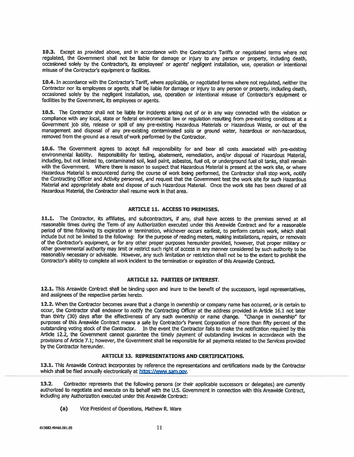10.3. Except as provided above, and in accordance with the Contractor's Tariffs or negotiated terms where not requiated, the Government shall not be liable for damage or injury to any person or property, including death. occasioned solely by the Contractor's, its employees' or agents' negligent installation, use, operation or intentional misuse of the Contractor's equipment or facilities.

10.4. In accordance with the Contractor's Tariff, where applicable, or negotiated terms where not regulated, neither the Contractor nor its employees or agents, shall be liable for damage or injury to any person or property, including death. occasioned solely by the negligent installation, use, operation or intentional misuse of Contractor's equipment or facilities by the Government, its employees or agents.

10.5. The Contractor shall not be liable for incidents arising out of or in any way connected with the violation or compliance with any local, state or federal environmental law or regulation resulting from pre-existing conditions at a Government job site, release or spill of any pre-existing Hazardous Materials or Hazardous Waste, or out of the management and disposal of any pre-existing contaminated soils or ground water, hazardous or non-hazardous, removed from the ground as a result of work performed by the Contractor.

10.6. The Government agrees to accept full responsibility for and bear all costs associated with pre-existing environmental liability. Responsibility for testing, abatement, remediation, and/or disposal of Hazardous Material, including, but not limited to, contaminated soil, lead paint, asbestos, fuel oil, or underground fuel oil tanks, shall remain with the Government. Where there is reason to suspect that Hazardous Material is present at the work site, or where Hazardous Material is encountered during the course of work being performed, the Contractor shall stop work, notify the Contracting Officer and Activity personnel, and request that the Government test the work site for such Hazardous Material and appropriately abate and dispose of such Hazardous Material. Once the work site has been cleared of all Hazardous Material. the Contractor shall resume work in that area.

#### **ARTICLE 11. ACCESS TO PREMISES.**

11.1. The Contractor, its affiliates, and subcontractors, if any, shall have access to the premises served at all reasonable times during the Term of any Authorization executed under this Areawide Contract and for a reasonable period of time following its expiration or termination, whichever occurs earliest, to perform certain work, which shall include but not be limited to the following: for the purpose of reading meters, making installations, repairs, or removals of the Contractor's equipment, or for any other proper purposes hereunder provided, however, that proper military or other governmental authority may limit or restrict such right of access in any manner considered by such authority to be reasonably necessary or advisable. However, any such limitation or restriction shall not be to the extent to prohibit the Contractor's ability to complete all work incident to the termination or expiration of this Areawide Contract.

#### **ARTICLE 12. PARTIES OF INTEREST.**

12.1. This Areawide Contract shall be binding upon and inure to the benefit of the successors, legal representatives, and assignees of the respective parties hereto.

12.2. When the Contractor becomes aware that a change in ownership or company name has occurred, or is certain to occur, the Contractor shall endeavor to notify the Contracting Officer at the address provided in Article 16.1 not later than thirty (30) days after the effectiveness of any such ownership or name change. "Change in ownership" for purposes of this Areawide Contract means a sale by Contractor's Parent Corporation of more than fifty percent of the outstanding voting stock of the Contractor. In the event the Contractor fails to make the notification required by this Article 12.2, the Government cannot guarantee the timely payment of outstanding invoices in accordance with the provisions of Article 7.1; however, the Government shall be responsible for all payments related to the Services provided by the Contractor hereunder.

### **ARTICLE 13. REPRESENTATIONS AND CERTIFICATIONS.**

13.1. This Areawide Contract incorporates by reference the representations and certifications made by the Contractor which shall be filed annually electronically at https://www.sam.gov.

 $13.2.$ Contractor represents that the following persons (or their applicable successors or delegates) are currently authorized to negotiate and execute on its behalf with the U.S. Government in connection with this Areawide Contract, including any Authorization executed under this Areawide Contract:

 $(a)$ Vice President of Operations, Mathew R. Ware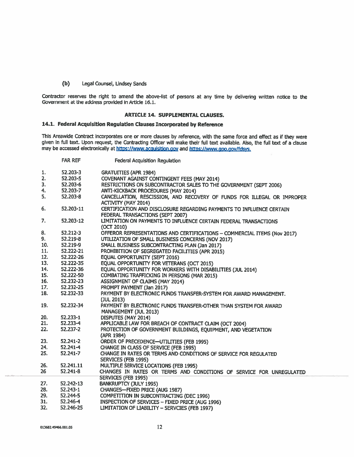#### $(b)$ Legal Counsel, Lindsey Sands

Contractor reserves the right to amend the above-list of persons at any time by delivering written notice to the Government at the address provided in Article 16.1.

#### **ARTICLE 14. SUPPLEMENTAL CLAUSES.**

#### 14.1. Federal Acquisition Regulation Clauses Incorporated by Reference

This Areawide Contract incorporates one or more clauses by reference, with the same force and effect as if they were given in full text. Upon request, the Contracting Officer will make their full text available. Also, the full text of a clause may be accessed electronically at https://www.acquisition.gov and https://www.gpo.gov/fdsys.

|     | <b>FAR REF</b> | Federal Acquisition Regulation                                           |
|-----|----------------|--------------------------------------------------------------------------|
| 1.  | 52.203-3       | <b>GRATUITIES (APR 1984)</b>                                             |
| 2.  | 52.203-5       | <b>COVENANT AGAINST CONTINGENT FEES (MAY 2014)</b>                       |
| 3.  | 52.203-6       | RESTRICTIONS ON SUBCONTRACTOR SALES TO THE GOVERNMENT (SEPT 2006)        |
| 4.  | 52.203-7       | ANTI-KICKBACK PROCEDURES (MAY 2014)                                      |
| 5.  | 52.203-8       | CANCELLATION, RESCISSION, AND RECOVERY OF FUNDS FOR ILLEGAL OR IMPROPER  |
|     |                | <b>ACTIVITY (MAY 2014)</b>                                               |
| 6.  | 52.203-11      | CERTIFICATION AND DISCLOSURE REGARDING PAYMENTS TO INFLUENCE CERTAIN     |
|     |                | FEDERAL TRANSACTIONS (SEPT 2007)                                         |
| 7.  | 52,203-12      | LIMITATION ON PAYMENTS TO INFLUENCE CERTAIN FEDERAL TRANSACTIONS         |
|     |                | (OCT 2010)                                                               |
| 8.  | 52.212-3       | OFFEROR REPRESENTATIONS AND CERTIFICATIONS - COMMERCIAL ITEMS (Nov 2017) |
| 9.  | 52.219-8       | UTILIZATION OF SMALL BUSINESS CONCERNS (NOV 2017)                        |
| 10. | 52.219-9       | SMALL BUSINESS SUBCONTRACTING PLAN (Jan 2017)                            |
| 11. | 52.222-21      | PROHIBITION OF SEGREGATED FACILITIES (APR 2015)                          |
| 12. | 52.222-26      | EQUAL OPPORTUNITY (SEPT 2016)                                            |
| 13. | 52.222-35      | EQUAL OPPORTUNITY FOR VETERANS (OCT 2015)                                |
| 14. | 52.222-36      | EQUAL OPPORTUNITY FOR WORKERS WITH DISABILITIES (JUL 2014)               |
| 15. | 52.222-50      | <b>COMBATING TRAFFICKING IN PERSONS (MAR 2015)</b>                       |
| 16. | 52.232-23      | <b>ASSIGNMENT OF CLAIMS (MAY 2014)</b>                                   |
| 17. | 52.232-25      | PROMPT PAYMENT (Jan 2017)                                                |
| 18. | 52.232-33      | PAYMENT BY ELECTRONIC FUNDS TRANSFER-SYSTEM FOR AWARD MANAGEMENT.        |
|     |                | (JUL 2013)                                                               |
| 19. | 52.232-34      | PAYMENT BY ELECTRONIC FUNDS TRANSFER-OTHER THAN SYSTEM FOR AWARD         |
|     |                | MANAGEMENT (JUL 2013)                                                    |
| 20. | 52.233-1       | DISPUTES (MAY 2014)                                                      |
| 21. | 52.233-4       | APPLICABLE LAW FOR BREACH OF CONTRACT CLAIM (OCT 2004)                   |
| 22. | 52.237-2       | PROTECTION OF GOVERNMENT BUILDINGS, EQUIPMENT, AND VEGETATION            |
|     |                | (APR 1984)                                                               |
| 23. | 52.241-2       | ORDER OF PRECEDENCE-UTILITIES (FEB 1995)                                 |
| 24. | 52.241-4       | CHANGE IN CLASS OF SERVICE (FEB 1995)                                    |
| 25. | 52.241-7       | CHANGE IN RATES OR TERMS AND CONDITIONS OF SERVICE FOR REGULATED         |
|     |                | SERVICES (FEB 1995)                                                      |
| 26. | 52.241.11      | MULTIPLE SERVICE LOCATIONS (FEB 1995)                                    |
| 26  | $52.241 - 8$   | CHANGES IN RATES OR TERMS AND CONDITIONS OF SERVICE FOR UNREGULATED      |
|     |                | SERVICES (FEB 1995)                                                      |
| 27. | 52.242-13      | BANKRUPTCY (JULY 1995)                                                   |
| 28. | $52.243 - 1$   | CHANGES-FIXED PRICE (AUG 1987)                                           |
| 29. | 52.244-5       | COMPETITION IN SUBCONTRACTING (DEC 1996)                                 |
| 31. | 52.246-4       | INSPECTION OF SERVICES - FIXED PRICE (AUG 1996)                          |
| 32. | 52.246-25      | LIMITATION OF LIABILITY - SERVCIES (FEB 1997)                            |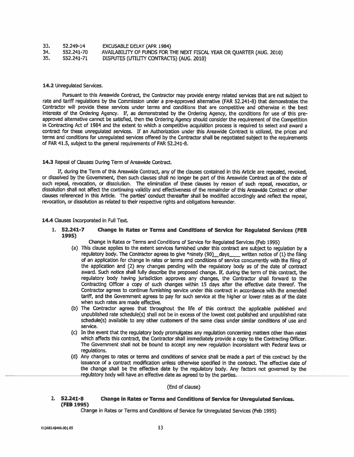| 33. | 52.249-14  | <b>EXCUSABLE DELAY (APR 1984)</b>                                     |
|-----|------------|-----------------------------------------------------------------------|
| 34. | 552.241-70 | AVAILABILITY OF FUNDS FOR THE NEXT FISCAL YEAR OR QUARTER (AUG. 2010) |
| 35. | 552.241-71 | DISPUTES (UTILITY CONTRACTS) (AUG. 2010)                              |

#### 14.2 Unregulated Services.

Pursuant to this Areawide Contract, the Contractor may provide energy related services that are not subject to rate and tariff requiations by the Commission under a pre-approved alternative (FAR 52.241-8) that demonstrates the Contractor will provide these services under terms and conditions that are competitive and otherwise in the best interests of the Ordering Agency. If, as demonstrated by the Ordering Agency, the conditions for use of this preapproved alternative cannot be satisfied, then the Ordering Agency should consider the requirement of the Competition in Contracting Act of 1984 and the extent to which a competitive acquisition process is required to select and award a contract for these unregulated services. If an Authorization under this Areawide Contract is utilized, the prices and terms and conditions for unrequlated services offered by the Contractor shall be negotiated subject to the requirements of FAR 41.5, subject to the general requirements of FAR 52.241-8.

#### 14.3 Repeal of Clauses During Term of Areawide Contract.

If, during the Term of this Areawide Contract, any of the clauses contained in this Article are repealed, revoked, or dissolved by the Government, then such clauses shall no longer be part of this Areawide Contract as of the date of such repeal, revocation, or dissolution. The elimination of these clauses by reason of such repeal, revocation, or dissolution shall not affect the continuing validity and effectiveness of the remainder of this Areawide Contract or other clauses referenced in this Article. The parties' conduct thereafter shall be modified accordingly and reflect the repeal, revocation, or dissolution as related to their respective rights and obligations hereunder.

#### 14.4 Clauses Incorporated in Full Text.

 $1.52.241 - 7$ Change in Rates or Terms and Conditions of Service for Regulated Services (FEB 1995)

Change in Rates or Terms and Conditions of Service for Regulated Services (Feb 1995)

- (a) This clause applies to the extent services furnished under this contract are subject to regulation by a regulatory body. The Contractor agrees to give \*ninety (90) \_days \_\_\_\_ written notice of (1) the filing of an application for change in rates or terms and conditions of service concurrently with the filing of the application and (2) any changes pending with the regulatory body as of the date of contract award. Such notice shall fully describe the proposed change. If, during the term of this contract, the regulatory body having jurisdiction approves any changes, the Contractor shall forward to the Contracting Officer a copy of such changes within 15 days after the effective date thereof. The Contractor agrees to continue furnishing service under this contract in accordance with the amended tariff, and the Government agrees to pay for such service at the higher or lower rates as of the date when such rates are made effective.
- (b) The Contractor agrees that throughout the life of this contract the applicable published and unpublished rate schedule(s) shall not be in excess of the lowest cost published and unpublished rate schedule(s) available to any other customers of the same class under similar conditions of use and service.
- (c) In the event that the regulatory body promulgates any regulation concerning matters other than rates which affects this contract, the Contractor shall immediately provide a copy to the Contracting Officer. The Government shall not be bound to accept any new requiation inconsistent with Federal laws or requlations.
- (d) Any changes to rates or terms and conditions of service shall be made a part of this contract by the issuance of a contract modification unless otherwise specified in the contract. The effective date of the change shall be the effective date by the regulatory body. Any factors not governed by the regulatory body will have an effective date as agreed to by the parties.

#### (End of clause)

#### $2.52.241 - 8$ Change in Rates or Terms and Conditions of Service for Unregulated Services. (FEB 1995)

Change in Rates or Terms and Conditions of Service for Unregulated Services (Feb 1995)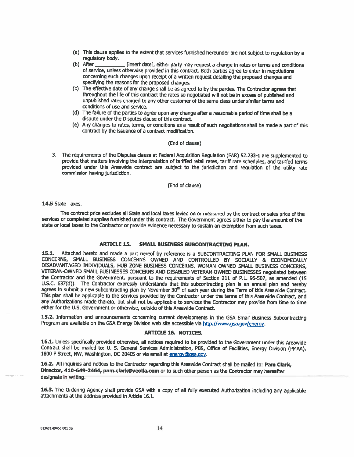- (a) This clause applies to the extent that services furnished hereunder are not subject to regulation by a regulatory body.
- $(b)$  After [insert date], either party may request a change in rates or terms and conditions of service, unless otherwise provided in this contract. Both parties agree to enter in negotiations concerning such changes upon receipt of a written request detailing the proposed changes and specifying the reasons for the proposed changes.
- (c) The effective date of any change shall be as agreed to by the parties. The Contractor agrees that throughout the life of this contract the rates so negotiated will not be in excess of published and unpublished rates charged to any other customer of the same class under similar terms and conditions of use and service.
- (d) The failure of the parties to agree upon any change after a reasonable period of time shall be a dispute under the Disputes clause of this contract.
- (e) Any changes to rates, terms, or conditions as a result of such negotiations shall be made a part of this contract by the issuance of a contract modification.

#### (End of clause)

3. The requirements of the Disputes clause at Federal Acquisition Regulation (FAR) 52.233-1 are supplemented to provide that matters involving the interpretation of tariffed retail rates, tariff rate schedules, and tariffed terms provided under this Areawide contract are subject to the jurisdiction and regulation of the utility rate commission having jurisdiction.

(End of clause)

14.5 State Taxes.

The contract price excludes all State and local taxes levied on or measured by the contract or sales price of the services or completed supplies furnished under this contract. The Government agrees either to pay the amount of the state or local taxes to the Contractor or provide evidence necessary to sustain an exemption from such taxes.

#### **ARTICLE 15. SMALL BUSINESS SUBCONTRACTING PLAN.**

15.1. Attached hereto and made a part hereof by reference is a SUBCONTRACTING PLAN FOR SMALL BUSINESS CONCERNS, SMALL BUSINESS CONCERNS OWNED AND CONTROLLED BY SOCIALLY & ECONOMICALLY DISADVANTAGED INDIVIDUALS, HUB ZONE BUSINESS CONCERNS, WOMAN OWNED SMALL BUSINESS CONCERNS, VETERAN-OWNED SMALL BUSINESSES CONCERNS AND DISABLED VETERAN-OWNED BUSINESSES negotiated between the Contractor and the Government, pursuant to the requirements of Section 211 of P.L. 95-507, as amended (15 U.S.C. 637(d)). The Contractor expressly understands that this subcontracting plan is an annual plan and hereby agrees to submit a new subcontracting plan by November 30<sup>th</sup> of each year during the Term of this Areawide Contract. This plan shall be applicable to the services provided by the Contractor under the terms of this Areawide Contract, and any Authorizations made thereto, but shall not be applicable to services the Contractor may provide from time to time either for the U.S. Government or otherwise, outside of this Areawide Contract.

15.2. Information and announcements concerning current developments in the GSA Small Business Subcontracting Program are available on the GSA Energy Division web site accessible via http://www.gsa.gov/energy.

#### **ARTICLE 16. NOTICES.**

16.1. Unless specifically provided otherwise, all notices required to be provided to the Government under this Areawide Contract shall be mailed to: U. S. General Services Administration, PBS, Office of Facilities, Energy Division (PMAA), 1800 F Street, NW, Washington, DC 20405 or via email at energy@gsa.gov.

16.2. All inquiries and notices to the Contractor regarding this Areawide Contract shall be mailed to: Pam Clark, Director, 410-649-2464, pam.clark@veolia.com or to such other person as the Contractor may hereafter designate in writing.

16.3. The Ordering Agency shall provide GSA with a copy of all fully executed Authorization including any applicable attachments at the address provided in Article 16.1.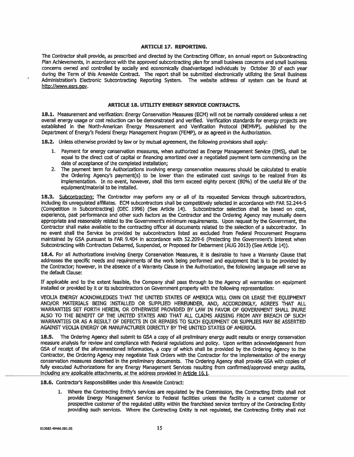#### **ARTICLE 17. REPORTING.**

The Contractor shall provide, as prescribed and directed by the Contracting Officer, an annual report on Subcontracting Plan Achievements, in accordance with the approved subcontracting plan for small business concerns and small business concerns owned and controlled by socially and economically disadvantaged individuals by October 30 of each year during the Term of this Areawide Contract. The report shall be submitted electronically utilizing the Small Business Administration's Electronic Subcontracting Reporting System. The website address of system can be found at http://www.esrs.gov.

#### **ARTICLE 18. UTILITY ENERGY SERVICE CONTRACTS.**

18.1. Measurement and verification: Energy Conservation Measures (ECM) will not be normally considered unless a net overall energy usage or cost reduction can be demonstrated and verified. Verification standards for energy projects are established in the North-American Energy Measurement and Verification Protocol (NEMVP), published by the Department of Energy's Federal Energy Management Program (FEMP), or as agreed in the Authorization.

18.2. Unless otherwise provided by law or by mutual agreement, the following provisions shall apply:

- 1. Payment for energy conservation measures, when authorized as Energy Management Service (EMS), shall be equal to the direct cost of capital or financing amortized over a negotiated payment term commencing on the date of acceptance of the completed installation:
- 2. The payment term for Authorizations involving energy conservation measures should be calculated to enable the Ordering Agency's payment(s) to be lower than the estimated cost savings to be realized from its implementation. In no event, however, shall this term exceed eighty percent (80%) of the useful life of the equipment/material to be installed.

18.3. Subcontracting: The Contractor may perform any or all of its requested Services through subcontractors, including its unregulated affiliates. ECM subcontractors shall be competitively selected in accordance with FAR 52.244-5 (Competition in Subcontracting) (DEC 1996) (See Article 14). Subcontractor selection shall be based on cost, experience, past performance and other such factors as the Contractor and the Ordering Agency may mutually deem appropriate and reasonably related to the Government's minimum requirements. Upon request by the Government, the Contractor shall make available to the contracting officer all documents related to the selection of a subcontractor. In no event shall the Service be provided by subcontractors listed as excluded from Federal Procurement Programs maintained by GSA pursuant to FAR 9.404 in accordance with 52,209-6 (Protecting the Government's Interest when Subcontracting with Contractors Debarred, Suspended, or Proposed for Debarment (AUG 2013) (See Article 14)).

18.4. For all Authorizations involving Energy Conservation Measures, it is desirable to have a Warranty Clause that addresses the specific needs and requirements of the work being performed and equipment that is to be provided by the Contractor; however, in the absence of a Warranty Clause in the Authorization, the following language will serve as the default Clause:

If applicable and to the extent feasible, the Company shall pass through to the Agency all warranties on equipment installed or provided by it or its subcontractors on Government property with the following representation:

VEOLIA ENERGY ACKNOWLEDGES THAT THE UNITED STATES OF AMERICA WILL OWN OR LEASE THE EOUIPMENT AND/OR MATERIALS BEING INSTALLED OR SUPPLIED HEREUNDER, AND, ACCORDINGLY, AGREES THAT ALL WARRANTIES SET FORTH HEREIN, OR OTHERWISE PROVIDED BY LAW IN FAVOR OF GOVERNMENT SHALL INURE ALSO TO THE BENEFIT OF THE UNITED STATES AND THAT ALL CLAIMS ARISING FROM ANY BREACH OF SUCH WARRANTIES OR AS A RESULT OF DEFECTS IN OR REPAIRS TO SUCH EQUIPMENT OR SUPPLIES MAY BE ASSERTED AGAINST VEOLIA ENERGY OR MANUFACTURER DIRECTLY BY THE UNITED STATES OF AMERICA.

The Ordering Agency shall submit to GSA a copy of all preliminary energy audit results or energy conservation measure analysis for review and compliance with Federal regulations and policy. Upon written acknowledgement from GSA of receipt of the aforementioned information, a copy of which shall be provided by the Ordering Agency to the Contractor, the Ordering Agency may negotiate Task Orders with the Contractor for the Implementation of the energy conservation measures described in the preliminary documents. The Ordering Agency shall provide GSA with copies of fully executed Authorizations for any Energy Management Services resulting from confirmed/approved energy audits, including any applicable attachments, at the address provided in Article 16.1.

18.6. Contractor's Responsibilities under this Areawide Contract:

1. Where the Contracting Entity's services are regulated by the Commission, the Contracting Entity shall not provide Energy Management Service to Federal facilities unless the facility is a current customer or prospective customer of the regulated utility within the franchised service territory of the Contracting Entity providing such services. Where the Contracting Entity Is not regulated, the Contracting Entity shall not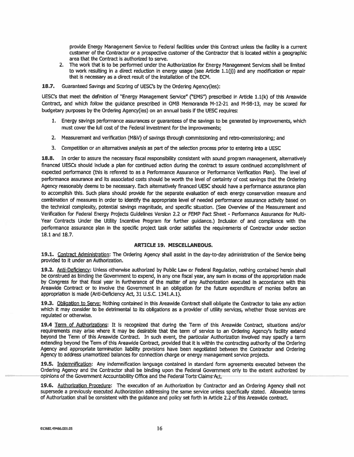provide Energy Management Service to Federal facilities under this Contract unless the facility is a current customer of the Contractor or a prospective customer of the Contractor that is located within a geographic area that the Contract is authorized to serve.

- 2. The work that is to be performed under the Authorization for Energy Management Services shall be limited to work resulting in a direct reduction in energy usage (see Article 1.1(j)) and any modification or repair that is necessary as a direct result of the installation of the ECM.
- 18.7. Guaranteed Savings and Scoring of UESC's by the Ordering Agency(ies):

UESC's that meet the definition of "Energy Management Service" ("EMS") prescribed in Article 1.1(k) of this Areawide Contract, and which follow the quidance prescribed in OMB Memoranda M-12-21 and M-98-13, may be scored for budgetary purposes by the Ordering Agency(ies) on an annual basis if the UESC requires:

- 1. Energy savings performance assurances or quarantees of the savings to be generated by improvements, which must cover the full cost of the Federal investment for the improvements;
- 2. Measurement and verification (M&V) of savings through commissioning and retro-commissioning; and
- 3. Competition or an alternatives analysis as part of the selection process prior to entering into a UESC

18.8. In order to assure the necessary fiscal responsibility consistent with sound program management, alternatively financed UESCs should include a plan for continued action during the contract to assure continued accomplishment of expected performance (this is referred to as a Performance Assurance or Performance Verification Plan). The level of performance assurance and its associated costs should be worth the level of certainty of cost savings that the Ordering Agency reasonably deems to be necessary. Each alternatively financed UESC should have a performance assurance plan to accomplish this. Such plans should provide for the separate evaluation of each energy conservation measure and combination of measures in order to identify the appropriate level of needed performance assurance activity based on the technical complexity, potential savings magnitude, and specific situation. (See Overview of the Measurement and Verification for Federal Energy Projects Guidelines Version 2.2 or FEMP Fact Sheet - Performance Assurance for Multi-Year Contracts Under the Utility Incentive Program for further quidance.) Inclusion of and compliance with the performance assurance plan in the specific project task order satisfies the requirements of Contractor under section 18.1 and 18.7.

#### **ARTICLE 19. MISCELLANEOUS.**

19.1. Contract Administration: The Ordering Agency shall assist in the day-to-day administration of the Service being provided to it under an Authorization.

19.2. Anti-Deficiency: Unless otherwise authorized by Public Law or Federal Regulation, nothing contained herein shall be construed as binding the Government to expend, in any one fiscal year, any sum in excess of the appropriation made by Congress for that fiscal year in furtherance of the matter of any Authorization executed in accordance with this Areawide Contract or to involve the Government in an obligation for the future expenditure of monies before an appropriation is made (Anti-Deficiency Act, 31 U.S.C. 1341.A.1).

19.3. Obligation to Serve: Nothing contained in this Areawide Contract shall obligate the Contractor to take any action which it may consider to be detrimental to its obligations as a provider of utility services, whether those services are requlated or otherwise.

19.4 Term of Authorizations: It is recognized that during the Term of this Areawide Contract, situations and/or requirements may arise where it may be desirable that the term of service to an Ordering Agency's facility extend beyond the Term of this Areawide Contract. In such event, the particular Authorization involved may specify a term extending beyond the Term of this Areawide Contract, provided that it is within the contracting authority of the Ordering Agency and appropriate termination liability provisions have been negotiated between the Contractor and Ordering Agency to address unamortized balances for connection charge or energy management service projects.

19.5. Indemnification: Any indemnification language contained in standard form agreements executed between the Ordering Agency and the Contractor shall be binding upon the Federal Government only to the extent authorized by opinions of the Government Accountability Office and the Federal Torts Claims Act.

19.6. Authorization Procedure: The execution of an Authorization by Contractor and an Ordering Agency shall not supersede a previously executed Authorization addressing the same service unless specifically stated. Allowable terms of Authorization shall be consistent with the guidance and policy set forth in Article 2.2 of this Areawide contract.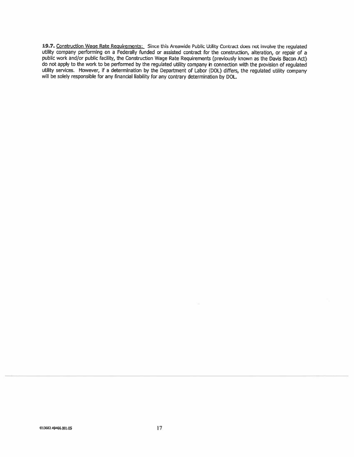19.7. Construction Wage Rate Requirements: Since this Areawide Public Utility Contract does not involve the regulated utility company performing on a Federally funded or assisted contract for the construction, alteration, or repair of a public work and/or public facility, the Construction Wage Rate Requirements (previously known as the Davis Bacon Act) do not apply to the work to be performed by the regulated utility company in connection with the provision of regulated utility services. However, if a determination by the Department of Labor (DOL) differs, the regulated utility company will be solely responsible for any financial liability for any contrary determination by DOL.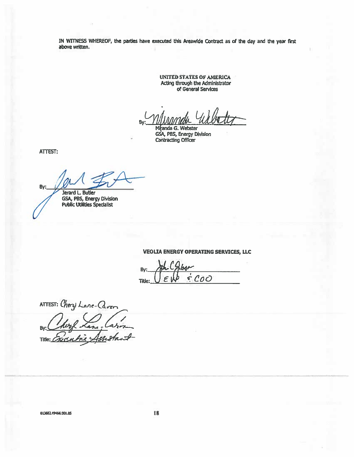IN WITNESS WHEREOF, the parties have executed this Areawide Contract as of the day and the year first above written.

> **UNITED STATES OF AMERICA** Acting through the Administrator of General Services

Bv

anda G. Webster M GSA, PBS, Energy Division **Contracting Officer** 

ATTEST:

By:

Jerard L. Butler GSA, PBS, Energy Division<br>Public Utilities Specialist

**VEOLIA ENERGY OPERATING SERVICES, LLC** 

By:  $$COO$  $\epsilon$ Title:

ATTEST: Cherzi Lave-Caven B. Title:

013682.49466.001.05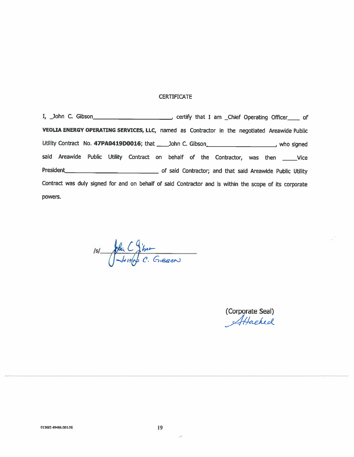### **CERTIFICATE**

VEOLIA ENERGY OPERATING SERVICES, LLC, named as Contractor in the negotiated Areawide Public Utility Contract No. 47PA0419D0016; that \_\_\_\_\_John C. Gibson\_\_\_\_\_\_\_\_\_\_\_\_\_\_\_\_\_\_\_\_, who signed said Areawide Public Utility Contract on behalf of the Contractor, was then \_\_\_\_\_Vice President President Contractor; and that said Areawide Public Utility Contract was duly signed for and on behalf of said Contractor and is within the scope of its corporate powers.

 $151$   $\frac{1}{\sqrt{\frac{1}{1100}}C}$  Gieson

(Corporate Seal) Attached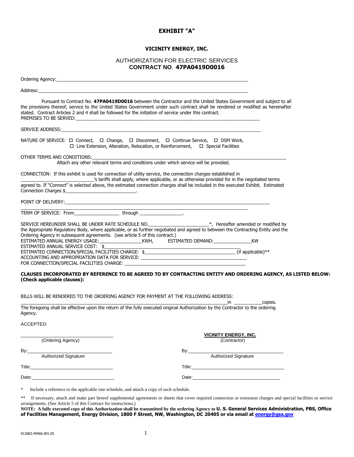#### **EXHIBIT "A"**

#### **VICINITY ENERGY, INC.**

#### AUTHORIZATION FOR ELECTRIC SERVICES **CONTRACT NO**. **47PA0419D0016**

| Address: Address: Address: Address: Address: Address: Address: Address: Address: Address: Address: A                                                                                                                                                                                                                                                                                                                               |
|------------------------------------------------------------------------------------------------------------------------------------------------------------------------------------------------------------------------------------------------------------------------------------------------------------------------------------------------------------------------------------------------------------------------------------|
| Pursuant to Contract No. 47PA0419D0016 between the Contractor and the United States Government and subject to all<br>the provisions thereof, service to the United States Government under such contract shall be rendered or modified as hereinafter<br>stated. Contract Articles 2 and 4 shall be followed for the initiation of service under this contract.<br>PREMISES TO BE SERVED:                                          |
| SERVICE ADDRESS: New York Service Services and the Service Service Service Services and the Service Service Service Service Services and Services and Services and Services and Services and Services and Services and Service                                                                                                                                                                                                     |
| NATURE OF SERVICE: □ Connect, □ Change, □ Disconnect, □ Continue Service, □ DSM Work,<br>$\Box$ Line Extension, Alteration, Relocation, or Reinforcement, $\Box$ Special Facilities                                                                                                                                                                                                                                                |
| OTHER TERMS AND CONDITIONS:<br>Attach any other relevant terms and conditions under which service will be provided.                                                                                                                                                                                                                                                                                                                |
| CONNECTION: If this exhibit is used for connection of utility service, the connection charges established in<br>s tariffs shall apply, where applicable, or as otherwise provided for in the negotiated terms <sup>2</sup>                                                                                                                                                                                                         |
| agreed to. If "Connect" is selected above, the estimated connection charges shall be included in the executed Exhibit. Estimated<br>Connection Charges \$                                                                                                                                                                                                                                                                          |
| POINT OF DELIVERY: And the contract of the contract of the contract of the contract of the contract of the contract of the contract of the contract of the contract of the contract of the contract of the contract of the con                                                                                                                                                                                                     |
| TERM OF SERVICE: From____________________through __________________.                                                                                                                                                                                                                                                                                                                                                               |
| SERVICE HEREUNDER SHALL BE UNDER RATE SCHEDULE NO.<br>the Appropriate Regulatory Body, where applicable, or as further negotiated and agreed to between the Contracting Entity and the<br>Ordering Agency in subsequent agreements. (see article 5 of this contract.)<br>ESTIMATED ANNUAL SERVICE COST: \$<br><u> 2008 - 2008 - 2008 - 2008 - 2008 - 2008 - 2008 - 2008 - 2008 - 2008 - 2008 - 2008 - 2008 - 2008 - 2008 - 200</u> |
| ACCOUNTING AND APPROPRIATION DATA FOR SERVICE: __________________________________                                                                                                                                                                                                                                                                                                                                                  |
| CLAUSES INCORPORATED BY REFERENCE TO BE AGREED TO BY CONTRACTING ENTITY AND ORDERING AGENCY, AS LISTED BELOW:<br>(Check applicable clauses):                                                                                                                                                                                                                                                                                       |
| BILLS WILL BE RENDERED TO THE ORDERING AGENCY FOR PAYMENT AT THE FOLLOWING ADDRESS:<br><u>in the copies.</u>                                                                                                                                                                                                                                                                                                                       |
| The foregoing shall be effective upon the return of the fully executed original Authorization by the Contractor to the ordering<br>Agency.                                                                                                                                                                                                                                                                                         |
| ACCEPTED:                                                                                                                                                                                                                                                                                                                                                                                                                          |

| (Ordering Agency)                                                                                                               | <b>VICINITY ENERGY, INC.</b><br>(Contractor)                                                                                                                                                                                   |
|---------------------------------------------------------------------------------------------------------------------------------|--------------------------------------------------------------------------------------------------------------------------------------------------------------------------------------------------------------------------------|
| Bv:<br>the control of the control of the control of the control of the control of the control of<br><b>Authorized Signature</b> | By:<br><b>Authorized Signature</b>                                                                                                                                                                                             |
|                                                                                                                                 | Title:                                                                                                                                                                                                                         |
| Date:                                                                                                                           | Date: the contract of the contract of the contract of the contract of the contract of the contract of the contract of the contract of the contract of the contract of the contract of the contract of the contract of the cont |

\* Include a reference to the applicable rate schedule, and attach a copy of such schedule.

\*\* If necessary, attach and make part hereof supplemental agreements or sheets that cover required connection or extension charges and special facilities or service arrangements. (See Article 5 of this Contract for instructions.)

**NOTE: A fully executed copy of this Authorization shall be transmitted by the ordering Agency to U. S. General Services Administration, PBS, Office of Facilities Management, Energy Division, 1800 F Street, NW, Washington, DC 20405 or via email a[t energy@gsa.gov](file:///C:/Users/JerardLButler/Downloads/energy@gsa.gov)**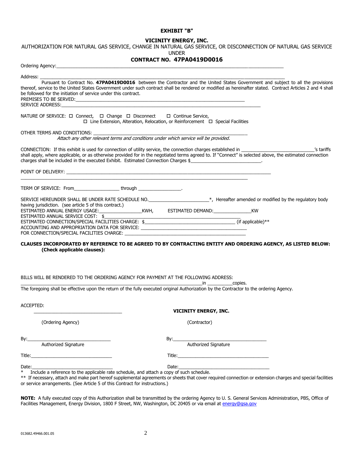#### **EXHIBIT "B"**

#### **VICINITY ENERGY, INC.**

AUTHORIZATION FOR NATURAL GAS SERVICE, CHANGE IN NATURAL GAS SERVICE, OR DISCONNECTION OF NATURAL GAS SERVICE

UNDER

#### **CONTRACT NO. 47PA0419D0016**

| Ordering Agency: expansion of the contract of the contract of the contract of the contract of the contract of  |                                                                                                                                                                                                                                                                                                                  |
|----------------------------------------------------------------------------------------------------------------|------------------------------------------------------------------------------------------------------------------------------------------------------------------------------------------------------------------------------------------------------------------------------------------------------------------|
| Address: ________                                                                                              |                                                                                                                                                                                                                                                                                                                  |
| be followed for the initiation of service under this contract.                                                 | Pursuant to Contract No. 47PA0419D0016 between the Contractor and the United States Government and subject to all the provisions<br>thereof, service to the United States Government under such contract shall be rendered or modified as hereinafter stated. Contract Articles 2 and 4 shall                    |
|                                                                                                                |                                                                                                                                                                                                                                                                                                                  |
| NATURE OF SERVICE: $\Box$ Connect, $\Box$ Change $\Box$ Disconnect $\Box$ Continue Service,                    | $\Box$ Line Extension, Alteration, Relocation, or Reinforcement $\Box$ Special Facilities                                                                                                                                                                                                                        |
| OTHER TERMS AND CONDITIONS:                                                                                    |                                                                                                                                                                                                                                                                                                                  |
| Attach any other relevant terms and conditions under which service will be provided.                           |                                                                                                                                                                                                                                                                                                                  |
| charges shall be included in the executed Exhibit. Estimated Connection Charges \$                             | CONNECTION: If this exhibit is used for connection of utility service, the connection charges established in __________________________<br>s tariffs'<br>shall apply, where applicable, or as otherwise provided for in the negotiated terms agreed to. If "Connect" is selected above, the estimated connection |
|                                                                                                                |                                                                                                                                                                                                                                                                                                                  |
| TERM OF SERVICE: From______________________through __________________.                                         |                                                                                                                                                                                                                                                                                                                  |
|                                                                                                                | SERVICE HEREUNDER SHALL BE UNDER RATE SCHEDULE NO. _____________________*, Hereafter amended or modified by the regulatory body                                                                                                                                                                                  |
|                                                                                                                |                                                                                                                                                                                                                                                                                                                  |
|                                                                                                                |                                                                                                                                                                                                                                                                                                                  |
|                                                                                                                |                                                                                                                                                                                                                                                                                                                  |
| ACCOUNTING AND APPROPRIATION DATA FOR SERVICE: _________________________________                               |                                                                                                                                                                                                                                                                                                                  |
|                                                                                                                |                                                                                                                                                                                                                                                                                                                  |
| (Check applicable clauses):                                                                                    | CLAUSES INCORPORATED BY REFERENCE TO BE AGREED TO BY CONTRACTING ENTITY AND ORDERING AGENCY, AS LISTED BELOW:                                                                                                                                                                                                    |
| BILLS WILL BE RENDERED TO THE ORDERING AGENCY FOR PAYMENT AT THE FOLLOWING ADDRESS:                            |                                                                                                                                                                                                                                                                                                                  |
|                                                                                                                | in the copies. The copies of the copies of the copies of the copies of the copies of the copies of the copies o<br>The foregoing shall be effective upon the return of the fully executed original Authorization by the Contractor to the ordering Agency.                                                       |
| ACCEPTED:                                                                                                      | <b>VICINITY ENERGY, INC.</b>                                                                                                                                                                                                                                                                                     |
| (Ordering Agency)                                                                                              | (Contractor)                                                                                                                                                                                                                                                                                                     |
| By:                                                                                                            | By:                                                                                                                                                                                                                                                                                                              |
| Authorized Signature                                                                                           | Authorized Signature                                                                                                                                                                                                                                                                                             |
|                                                                                                                |                                                                                                                                                                                                                                                                                                                  |
| Date: when the contract of the contract of the contract of the contract of the contract of the contract of the |                                                                                                                                                                                                                                                                                                                  |
| Include a reference to the applicable rate schedule, and attach a copy of such schedule.<br>$\ast$             |                                                                                                                                                                                                                                                                                                                  |
| or service arrangements. (See Article 5 of this Contract for instructions.)                                    | ** If necessary, attach and make part hereof supplemental agreements or sheets that cover required connection or extension charges and special facilities                                                                                                                                                        |

**NOTE:** A fully executed copy of this Authorization shall be transmitted by the ordering Agency to U. S. General Services Administration, PBS, Office of Facilities Management, Energy Division, 1800 F Street, NW, Washington, DC 20405 or via email at <u>energy@gsa.gov</u>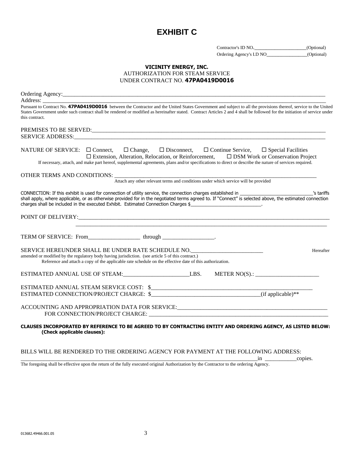### **EXHIBIT C**

| Contractor's ID NO.      | (Optional) |
|--------------------------|------------|
| Ordering Agency's I.D NO | (Optional) |

#### **VICINITY ENERGY, INC.** AUTHORIZATION FOR STEAM SERVICE UNDER CONTRACT NO. **47PA0419D0016**

| Address:                                                                                                                                                                                                                                                                                                                                                         |
|------------------------------------------------------------------------------------------------------------------------------------------------------------------------------------------------------------------------------------------------------------------------------------------------------------------------------------------------------------------|
| Pursuant to Contract No. 47PA0419D0016 between the Contractor and the United States Government and subject to all the provisions thereof, service to the United<br>States Government under such contract shall be rendered or modified as hereinafter stated. Contract Articles 2 and 4 shall be followed for the initiation of service under<br>this contract.  |
|                                                                                                                                                                                                                                                                                                                                                                  |
|                                                                                                                                                                                                                                                                                                                                                                  |
| NATURE OF SERVICE: □ Connect, □ Change, □ Disconnect, □ Continue Service, □ Special Facilities<br>$\Box$ Extension, Alteration, Relocation, or Reinforcement, $\Box$ DSM Work or Conservation Project<br>If necessary, attach, and make part hereof, supplemental agreements, plans and/or specifications to direct or describe the nature of services required. |
| OTHER TERMS AND CONDITIONS:                                                                                                                                                                                                                                                                                                                                      |
| Attach any other relevant terms and conditions under which service will be provided                                                                                                                                                                                                                                                                              |
| shall apply, where applicable, or as otherwise provided for in the negotiated terms agreed to. If "Connect" is selected above, the estimated connection<br>charges shall be included in the executed Exhibit. Estimated Connection Charges \$ ____________________________                                                                                       |
|                                                                                                                                                                                                                                                                                                                                                                  |
|                                                                                                                                                                                                                                                                                                                                                                  |
|                                                                                                                                                                                                                                                                                                                                                                  |
| SERVICE HEREUNDER SHALL BE UNDER RATE SCHEDULE NO. _____________________________<br>Hereafter<br>amended or modified by the regulatory body having jurisdiction. (see article 5 of this contract.)                                                                                                                                                               |
| Reference and attach a copy of the applicable rate schedule on the effective date of this authorization.                                                                                                                                                                                                                                                         |
| ESTIMATED ANNUAL USE OF STEAM: LES. METER NO(S).: LES.                                                                                                                                                                                                                                                                                                           |
|                                                                                                                                                                                                                                                                                                                                                                  |
|                                                                                                                                                                                                                                                                                                                                                                  |
|                                                                                                                                                                                                                                                                                                                                                                  |
|                                                                                                                                                                                                                                                                                                                                                                  |
| CLAUSES INCORPORATED BY REFERENCE TO BE AGREED TO BY CONTRACTING ENTITY AND ORDERING AGENCY, AS LISTED BELOW:<br>(Check applicable clauses):                                                                                                                                                                                                                     |

BILLS WILL BE RENDERED TO THE ORDERING AGENCY FOR PAYMENT AT THE FOLLOWING ADDRESS:

\_\_\_\_\_\_\_\_\_\_\_\_\_\_\_\_\_\_\_\_\_\_\_\_\_\_\_\_\_\_\_\_\_\_\_\_\_\_\_\_\_\_\_\_\_\_\_\_\_\_\_\_\_\_\_\_\_\_\_\_\_\_\_\_\_\_\_\_\_\_\_\_\_\_\_\_\_\_\_\_\_\_in \_\_\_\_\_\_\_\_\_\_\_copies.

The foregoing shall be effective upon the return of the fully executed original Authorization by the Contractor to the ordering Agency.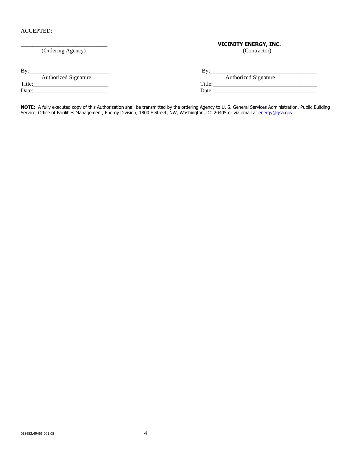#### ACCEPTED:

# \_\_\_\_\_\_\_\_\_\_\_\_\_\_\_\_\_\_\_\_\_\_\_\_\_\_\_\_\_\_ **VICINITY ENERGY, INC.**

(Ordering Agency)

By:\_\_\_\_\_\_\_\_\_\_\_\_\_\_\_\_\_\_\_\_\_\_\_\_\_\_\_\_ By:\_\_\_\_\_\_\_\_\_\_\_\_\_\_\_\_\_\_\_\_\_\_\_\_\_\_\_\_\_\_\_\_\_\_\_\_\_

| $\mathbf{B}v$ : |                             |  |
|-----------------|-----------------------------|--|
| ---             | <b>Authorized Signature</b> |  |

Date:\_\_\_\_\_\_\_\_\_\_\_\_\_\_\_\_\_\_\_\_\_\_\_\_\_\_ Date:\_\_\_\_\_\_\_\_\_\_\_\_\_\_\_\_\_\_\_\_\_\_\_\_\_\_\_\_\_\_\_\_\_\_\_\_

| <b>Authorized Signature</b> | Authorized Signature |
|-----------------------------|----------------------|
| Title:                      | Title.               |
| Date:                       | <b>Date</b>          |

Title:\_\_\_\_\_\_\_\_\_\_\_\_\_\_\_\_\_\_\_\_\_\_\_\_\_\_ Title:\_\_\_\_\_\_\_\_\_\_\_\_\_\_\_\_\_\_\_\_\_\_\_\_\_\_\_\_\_\_\_\_\_\_\_\_

**NOTE:** A fully executed copy of this Authorization shall be transmitted by the ordering Agency to U. S. General Services Administration, Public Building Service, Office of Facilities Management, Energy Division, 1800 F Street, NW, Washington, DC 20405 or via email at <u>energy@gsa.gov</u>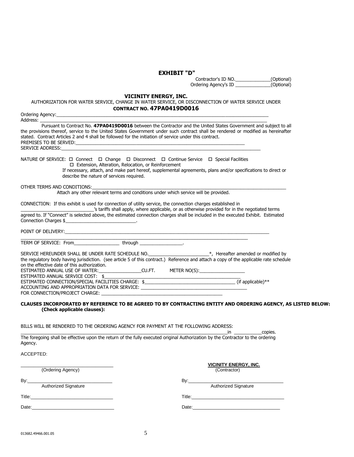**EXHIBIT "D"**

Contractor's ID NO.\_\_\_\_\_\_\_\_\_\_\_\_\_\_(Optional) Ordering Agency's ID \_\_\_\_\_\_\_\_\_\_\_\_\_\_(Optional)

#### **VICINITY ENERGY, INC.**

#### AUTHORIZATION FOR WATER SERVICE, CHANGE IN WATER SERVICE, OR DISCONNECTION OF WATER SERVICE UNDER **CONTRACT NO. 47PA0419D0016**

| Ordering Agency:                                                                                                                                                                                                               |                                                                                                                   |
|--------------------------------------------------------------------------------------------------------------------------------------------------------------------------------------------------------------------------------|-------------------------------------------------------------------------------------------------------------------|
|                                                                                                                                                                                                                                | Pursuant to Contract No. 47PA0419D0016 between the Contractor and the United States Government and subject to all |
| the provisions thereof, service to the United States Government under such contract shall be rendered or modified as hereinafter                                                                                               |                                                                                                                   |
| stated. Contract Articles 2 and 4 shall be followed for the initiation of service under this contract.                                                                                                                         |                                                                                                                   |
| PREMISES TO BE SERVED: THE SERVED OF THE SERVED OF THE SERVED OF THE SERVED OF THE SERVED OF THE SERVED OF THE SERVED OF THE SERVED OF THE SERVED OF THE SERVED OF THE SERVED OF THE SERVED OF THE SERVED OF THE SERVED OF THE |                                                                                                                   |
| SERVICE ADDRESS: The contract of the contract of the contract of the contract of the contract of the contract of the contract of the contract of the contract of the contract of the contract of the contract of the contract  |                                                                                                                   |
|                                                                                                                                                                                                                                |                                                                                                                   |
| NATURE OF SERVICE: $\Box$ Connect $\Box$ Change $\Box$ Disconnect $\Box$ Continue Service $\Box$ Special Facilities                                                                                                            |                                                                                                                   |
|                                                                                                                                                                                                                                |                                                                                                                   |
| □ Extension, Alteration, Relocation, or Reinforcement                                                                                                                                                                          |                                                                                                                   |
|                                                                                                                                                                                                                                | If necessary, attach, and make part hereof, supplemental agreements, plans and/or specifications to direct or     |
| describe the nature of services required.                                                                                                                                                                                      |                                                                                                                   |
|                                                                                                                                                                                                                                |                                                                                                                   |
| OTHER TERMS AND CONDITIONS:                                                                                                                                                                                                    |                                                                                                                   |
| Attach any other relevant terms and conditions under which service will be provided.                                                                                                                                           |                                                                                                                   |
|                                                                                                                                                                                                                                |                                                                                                                   |
| CONNECTION: If this exhibit is used for connection of utility service, the connection charges established in                                                                                                                   |                                                                                                                   |
|                                                                                                                                                                                                                                | s tariffs shall apply, where applicable, or as otherwise provided for in the negotiated terms                     |
| agreed to. If "Connect" is selected above, the estimated connection charges shall be included in the executed Exhibit. Estimated                                                                                               |                                                                                                                   |
| Connection Charges \$                                                                                                                                                                                                          |                                                                                                                   |
|                                                                                                                                                                                                                                |                                                                                                                   |
|                                                                                                                                                                                                                                |                                                                                                                   |
|                                                                                                                                                                                                                                |                                                                                                                   |
| TERM OF SERVICE: From________________________through __________________.                                                                                                                                                       |                                                                                                                   |
|                                                                                                                                                                                                                                |                                                                                                                   |
| SERVICE HEREUNDER SHALL BE UNDER RATE SCHEDULE NO. ______________________*, Hereafter amended or modified by                                                                                                                   |                                                                                                                   |
| the regulatory body having jurisdiction. (see article 5 of this contract.) Reference and attach a copy of the applicable rate schedule                                                                                         |                                                                                                                   |
| on the effective date of this authorization.                                                                                                                                                                                   |                                                                                                                   |
| ESTIMATED ANNUAL USE OF WATER: CU.FT. METER NO(S): CU.FT.                                                                                                                                                                      |                                                                                                                   |
|                                                                                                                                                                                                                                |                                                                                                                   |
|                                                                                                                                                                                                                                |                                                                                                                   |
| ACCOUNTING AND APPROPRIATION DATA FOR SERVICE: __________________________________                                                                                                                                              |                                                                                                                   |
|                                                                                                                                                                                                                                |                                                                                                                   |
|                                                                                                                                                                                                                                |                                                                                                                   |
|                                                                                                                                                                                                                                | CLAUSES INCORPORATED BY REFERENCE TO BE AGREED TO BY CONTRACTING ENTITY AND ORDERING AGENCY, AS LISTED BELOW:     |
| (Check applicable clauses):                                                                                                                                                                                                    |                                                                                                                   |
|                                                                                                                                                                                                                                |                                                                                                                   |
|                                                                                                                                                                                                                                |                                                                                                                   |
| BILLS WILL BE RENDERED TO THE ORDERING AGENCY FOR PAYMENT AT THE FOLLOWING ADDRESS:                                                                                                                                            |                                                                                                                   |
|                                                                                                                                                                                                                                | in the copies.                                                                                                    |
| The foregoing shall be effective upon the return of the fully executed original Authorization by the Contractor to the ordering                                                                                                |                                                                                                                   |
| Agency.                                                                                                                                                                                                                        |                                                                                                                   |
|                                                                                                                                                                                                                                |                                                                                                                   |
| ACCEPTED:                                                                                                                                                                                                                      |                                                                                                                   |
|                                                                                                                                                                                                                                |                                                                                                                   |
|                                                                                                                                                                                                                                | <b>VICINITY ENERGY, INC.</b>                                                                                      |
| (Ordering Agency)                                                                                                                                                                                                              | (Contractor)                                                                                                      |
|                                                                                                                                                                                                                                |                                                                                                                   |
| By:                                                                                                                                                                                                                            | By:                                                                                                               |
| Authorized Signature                                                                                                                                                                                                           | Authorized Signature                                                                                              |
|                                                                                                                                                                                                                                |                                                                                                                   |
|                                                                                                                                                                                                                                |                                                                                                                   |
|                                                                                                                                                                                                                                |                                                                                                                   |
|                                                                                                                                                                                                                                |                                                                                                                   |
|                                                                                                                                                                                                                                |                                                                                                                   |
|                                                                                                                                                                                                                                |                                                                                                                   |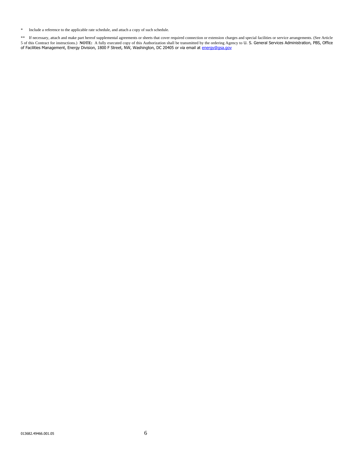\* Include a reference to the applicable rate schedule, and attach a copy of such schedule.

\*\* If necessary, attach and make part hereof supplemental agreements or sheets that cover required connection or extension charges and special facilities or service arrangements. (See Article 5 of this Contract for instructions.) **NOTE:** A fully executed copy of this Authorization shall be transmitted by the ordering Agency to U. S. General Services Administration, PBS, Office of Facilities Management, Energy Division, 1800 F Street, NW, Washington, DC 20405 or via email at [energy@gsa.gov](file:///C:/Users/JerardLButler/Downloads/energy@gsa.gov)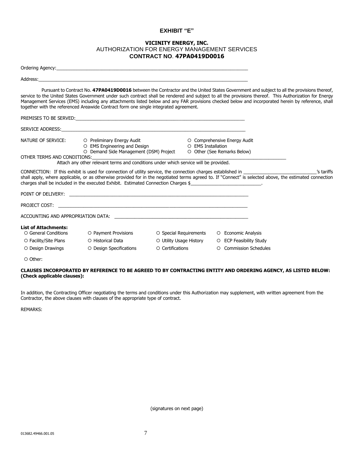#### **EXHIBIT "E"**

#### **VICINITY ENERGY, INC.** AUTHORIZATION FOR ENERGY MANAGEMENT SERVICES **CONTRACT NO**. **47PA0419D0016**

|                                                     | Ordering Agency: New York Contract the Contract of the Contract of the Contract of the Contract of the Contract of the Contract of the Contract of the Contract of the Contract of the Contract of the Contract of the Contrac |                         |                                                                                                                                                                                                                                                                                                                                                                                                                                                          |            |
|-----------------------------------------------------|--------------------------------------------------------------------------------------------------------------------------------------------------------------------------------------------------------------------------------|-------------------------|----------------------------------------------------------------------------------------------------------------------------------------------------------------------------------------------------------------------------------------------------------------------------------------------------------------------------------------------------------------------------------------------------------------------------------------------------------|------------|
| Address:                                            |                                                                                                                                                                                                                                |                         |                                                                                                                                                                                                                                                                                                                                                                                                                                                          |            |
|                                                     | together with the referenced Areawide Contract form one single integrated agreement.                                                                                                                                           |                         | Pursuant to Contract No. 47PA0419D0016 between the Contractor and the United States Government and subject to all the provisions thereof,<br>service to the United States Government under such contract shall be rendered and subject to all the provisions thereof. This Authorization for Energy<br>Management Services (EMS) including any attachments listed below and any FAR provisions checked below and incorporated herein by reference, shall |            |
|                                                     |                                                                                                                                                                                                                                |                         |                                                                                                                                                                                                                                                                                                                                                                                                                                                          |            |
|                                                     |                                                                                                                                                                                                                                |                         |                                                                                                                                                                                                                                                                                                                                                                                                                                                          |            |
| NATURE OF SERVICE:                                  | O Preliminary Energy Audit<br>O EMS Engineering and Design<br>O Demand Side Management (DSM) Project                                                                                                                           | O EMS Installation      | O Comprehensive Energy Audit<br>O Other (See Remarks Below)                                                                                                                                                                                                                                                                                                                                                                                              |            |
| OTHER TERMS AND CONDITIONS:                         | Attach any other relevant terms and conditions under which service will be provided.                                                                                                                                           |                         |                                                                                                                                                                                                                                                                                                                                                                                                                                                          |            |
|                                                     | charges shall be included in the executed Exhibit. Estimated Connection Charges \$                                                                                                                                             |                         | shall apply, where applicable, or as otherwise provided for in the negotiated terms agreed to. If "Connect" is selected above, the estimated connection                                                                                                                                                                                                                                                                                                  | 's tariffs |
|                                                     |                                                                                                                                                                                                                                |                         |                                                                                                                                                                                                                                                                                                                                                                                                                                                          |            |
|                                                     |                                                                                                                                                                                                                                |                         |                                                                                                                                                                                                                                                                                                                                                                                                                                                          |            |
|                                                     |                                                                                                                                                                                                                                |                         |                                                                                                                                                                                                                                                                                                                                                                                                                                                          |            |
| <b>List of Attachments:</b><br>○ General Conditions | O Payment Provisions                                                                                                                                                                                                           | ○ Special Requirements  | O Economic Analysis                                                                                                                                                                                                                                                                                                                                                                                                                                      |            |
| O Facility/Site Plans                               | O Historical Data                                                                                                                                                                                                              | ○ Utility Usage History | O ECP Feasibility Study                                                                                                                                                                                                                                                                                                                                                                                                                                  |            |
| O Design Drawings                                   | O Design Specifications                                                                                                                                                                                                        | O Certifications        | <b>Commission Schedules</b><br>$\circ$                                                                                                                                                                                                                                                                                                                                                                                                                   |            |
| O Other:                                            |                                                                                                                                                                                                                                |                         |                                                                                                                                                                                                                                                                                                                                                                                                                                                          |            |

#### **CLAUSES INCORPORATED BY REFERENCE TO BE AGREED TO BY CONTRACTING ENTITY AND ORDERING AGENCY, AS LISTED BELOW: (Check applicable clauses):**

In addition, the Contracting Officer negotiating the terms and conditions under this Authorization may supplement, with written agreement from the Contractor, the above clauses with clauses of the appropriate type of contract.

REMARKS:

(signatures on next page)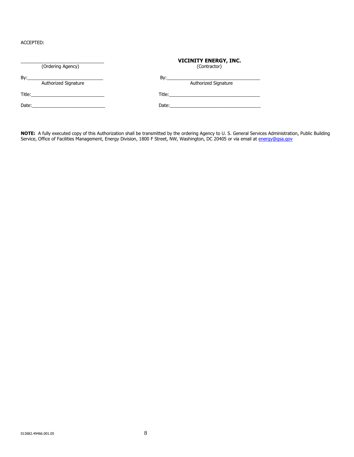ACCEPTED:

| (Ordering Agency)                              | <b>VICINITY ENERGY, INC.</b><br>(Contractor)                                                                                                                                                                                   |
|------------------------------------------------|--------------------------------------------------------------------------------------------------------------------------------------------------------------------------------------------------------------------------------|
| Authorized Signature                           | By: $\frac{1}{2}$<br>Authorized Signature                                                                                                                                                                                      |
| Title: <u>__________________________</u>       | Title: <u>________________________________</u>                                                                                                                                                                                 |
| Date: <u>_________________________________</u> | Date: the contract of the contract of the contract of the contract of the contract of the contract of the contract of the contract of the contract of the contract of the contract of the contract of the contract of the cont |

**NOTE:** A fully executed copy of this Authorization shall be transmitted by the ordering Agency to U. S. General Services Administration, Public Building Service, Office of Facilities Management, Energy Division, 1800 F Street, NW, Washington, DC 20405 or via email at <u>energy@gsa.gov</u>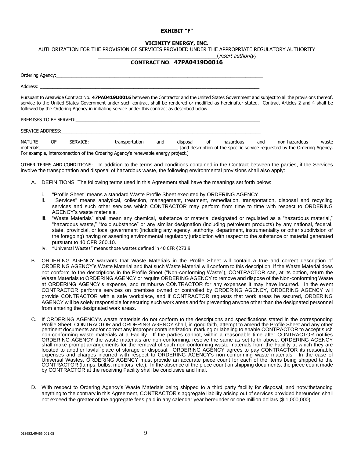#### **EXHIBIT "F"**

#### **VICINITY ENERGY, INC.**

AUTHORIZATION FOR THE PROVISION OF SERVICES PROVIDED UNDER THE APPROPRIATE REGULATORY AUTHORITY

\_\_\_\_\_\_\_\_\_\_\_\_\_\_\_\_\_\_\_\_\_\_\_\_\_\_\_\_\_\_\_\_\_\_\_\_\_\_\_\_\_\_(insert authority)

#### **CONTRACT NO**. **47PA0419D0016**

|               |           |                                                                                                                                                                                                                               | Pursuant to Areawide Contract No. 47PA0419D0016 between the Contractor and the United States Government and subject to all the provisions thereof,<br>service to the United States Government under such contract shall be rendered or modified as hereinafter stated. Contract Articles 2 and 4 shall be<br>followed by the Ordering Agency in initiating service under this contract as described below. |     |          |    |           |     |               |       |
|---------------|-----------|-------------------------------------------------------------------------------------------------------------------------------------------------------------------------------------------------------------------------------|------------------------------------------------------------------------------------------------------------------------------------------------------------------------------------------------------------------------------------------------------------------------------------------------------------------------------------------------------------------------------------------------------------|-----|----------|----|-----------|-----|---------------|-------|
|               |           |                                                                                                                                                                                                                               | PREMISES TO BE SERVED: THE SERVED OF THE SERVED OF THE SERVED OF THE SERVED OF THE SERVED OF THE SERVED OF THE SERVED OF THE SERVED OF THE SERVED OF THE SERVED OF THE SERVED OF THE SERVED OF THE SERVED OF THE SERVED OF THE                                                                                                                                                                             |     |          |    |           |     |               |       |
|               |           | SERVICE ADDRESS: The contract of the contract of the contract of the contract of the contract of the contract of the contract of the contract of the contract of the contract of the contract of the contract of the contract |                                                                                                                                                                                                                                                                                                                                                                                                            |     |          |    |           |     |               |       |
| <b>NATURE</b> | <b>OF</b> | SERVICE:                                                                                                                                                                                                                      | transportation                                                                                                                                                                                                                                                                                                                                                                                             | and | disposal | οf | hazardous | and | non-hazardous | waste |

materials\_\_\_\_\_\_\_\_\_\_\_\_\_\_\_\_\_\_\_\_\_\_\_\_\_\_\_\_\_\_\_\_\_\_\_\_\_\_\_\_\_\_\_\_\_\_\_\_\_\_\_\_\_\_\_ [add description of the specific service requested by the Ordering Agency. For example, interconnection of the Ordering Agency's renewable energy project.]

OTHER TERMS AND CONDITIONS: In addition to the terms and conditions contained in the Contract between the parties, if the Services involve the transportation and disposal of hazardous waste, the following environmental provisions shall also apply:

- A. DEFINITIONS The following terms used in this Agreement shall have the meanings set forth below:
	- i. "Profile Sheet" means a standard Waste Profile Sheet executed by ORDERING AGENCY.
	- ii. "Services" means analytical, collection, management, treatment, remediation, transportation, disposal and recycling services and such other services which CONTRACTOR may perform from time to time with respect to ORDERING AGENCY's waste materials.
	- iii. "Waste Materials" shall mean any chemical, substance or material designated or regulated as a "hazardous material," "hazardous waste," "toxic substance" or any similar designation (including petroleum products) by any national, federal, state, provincial, or local government (including any agency, authority, department, instrumentality or other subdivision of the foregoing) having or asserting environmental regulatory jurisdiction with respect to the substance or material generated pursuant to 40 CFR 260.10.
	- iv. "Universal Wastes" means those wastes defined in 40 CFR §273.9.
- B. ORDERING AGENCY warrants that Waste Materials in the Profile Sheet will contain a true and correct description of ORDERING AGENCY's Waste Material and that such Waste Material will conform to this description. If the Waste Material does not conform to the descriptions in the Profile Sheet ("Non-conforming Waste"), CONTRACTOR can, at its option, return the Waste Materials to ORDERING AGENCY or require ORDERING AGENCY to remove and dispose of the Non-conforming Waste at ORDERING AGENCY's expense, and reimburse CONTRACTOR for any expenses it may have incurred. In the event CONTRACTOR performs services on premises owned or controlled by ORDERING AGENCY, ORDERING AGENCY will provide CONTRACTOR with a safe workplace, and if CONTRACTOR requests that work areas be secured, ORDERING AGENCY will be solely responsible for securing such work areas and for preventing anyone other than the designated personnel from entering the designated work areas.
- C. If ORDERING AGENCY's waste materials do not conform to the descriptions and specifications stated in the corresponding Profile Sheet, CONTRACTOR and ORDERING AGENCY shall, in good faith, attempt to amend the Profile Sheet and any other pertinent documents and/or correct any improper containerization, marking or labeling to enable CONTRACTOR to accept such non-conforming waste materials at a Facility. If the parties cannot, within a reasonable time after CONTRACTOR notifies ORDERING AGENCY the waste materials are non-conforming, resolve the same as set forth above, ORDERING AGENCY shall make prompt arrangements for the removal of such non-conforming waste materials from the Facility at which they are located to another lawful place of storage or disposal. ORDERING AGENCY agrees to pay CONTRACTOR its reasonable expenses and charges incurred with respect to ORDERING AGENCY's non-conforming waste materials. In the case of Universal Wastes, ORDERING AGENCY must provide an accurate piece count for each of the items being shipped to the CONTRACTOR (lamps, bulbs, monitors, etc.). In the absence of the piece count on shipping documents, the piece count made by CONTRACTOR at the receiving Facility shall be conclusive and final.
- D. With respect to Ordering Agency's Waste Materials being shipped to a third party facility for disposal, and notwithstanding anything to the contrary in this Agreement, CONTRACTOR's aggregate liability arising out of services provided hereunder shall not exceed the greater of the aggregate fees paid in any calendar year hereunder or one million dollars (\$ 1,000,000).